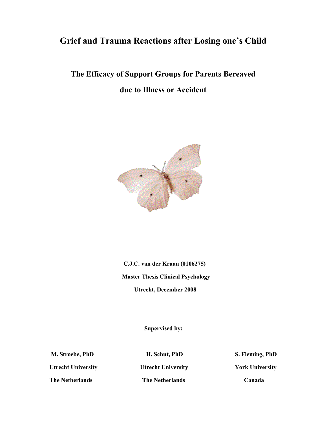# **Grief and Trauma Reactions after Losing one's Child**

# **The Efficacy of Support Groups for Parents Bereaved due to Illness or Accident**



 **C.J.C. van der Kraan (0106275) Master Thesis Clinical Psychology Utrecht, December 2008**

 **Supervised by:**

**Utrecht University Utrecht University York University**

**The Netherlands The Netherlands Canada**

**M. Stroebe, PhD H. Schut, PhD S. Fleming, PhD**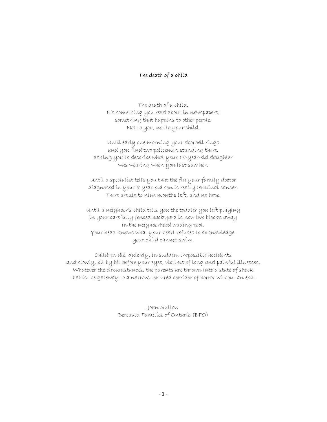## The death of a child

The death of a child. It's something you read about in newspapers; something that happens to other people. Not to you, not to your child.

Until early one morning your doorbell rings and you find two policemen standing there, asking you to describe what your 18-year-old daughter was wearing when you last saw her.

Until a specialist tells you that the flu your family doctor diagnosed in your 8-year-old son is really terminal cancer. There are six to nine months left, and no hope.

Until a neighbor's child tells you the toddler you left playing in your carefully fenced backyard is now two blocks away in the neighborhood wading pool. Your head knows what your heart refuses to acknowledge: your child cannot swim.

Children die, quickly, in sudden, impossible accidents and slowly, bit by bit before your eyes, victims of long and painful illnesses. Whatever the circumstances, the parents are thrown into a state of shock that is the gateway to a narrow, tortured corridor of horror without an exit.

> Joan Sutton Bereaved Families of Ontario (BFO)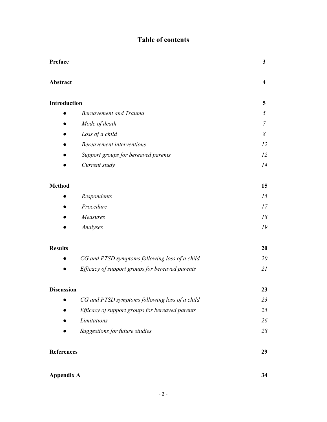## **Table of contents**

| Preface             |                                                 | 3                       |
|---------------------|-------------------------------------------------|-------------------------|
| Abstract            |                                                 | $\overline{\mathbf{4}}$ |
| <b>Introduction</b> |                                                 | 5                       |
|                     | <b>Bereavement and Trauma</b>                   | 5                       |
|                     | Mode of death                                   | 7                       |
|                     | Loss of a child                                 | 8                       |
|                     | <b>Bereavement interventions</b>                | 12                      |
|                     | Support groups for bereaved parents             | 12                      |
|                     | Current study                                   | 14                      |
| <b>Method</b>       |                                                 | 15                      |
|                     | Respondents                                     | 15                      |
|                     | Procedure                                       | 17                      |
|                     | Measures                                        | 18                      |
|                     | Analyses                                        | 19                      |
| <b>Results</b>      |                                                 | 20                      |
|                     | CG and PTSD symptoms following loss of a child  | 20                      |
|                     | Efficacy of support groups for bereaved parents | 21                      |
| <b>Discussion</b>   |                                                 | 23                      |
|                     | CG and PTSD symptoms following loss of a child  | 23                      |
|                     | Efficacy of support groups for bereaved parents | 25                      |
|                     | Limitations                                     | 26                      |
|                     | Suggestions for future studies                  | 28                      |
| <b>References</b>   |                                                 | 29                      |
| <b>Appendix A</b>   |                                                 | 34                      |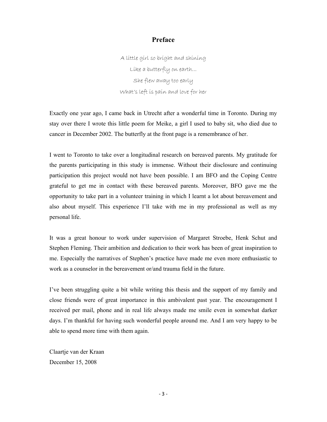## **Preface**

A little girl so bright and shining Like a butterfly on earth… She flew away too early What's left is pain and love for her

Exactly one year ago, I came back in Utrecht after a wonderful time in Toronto. During my stay over there I wrote this little poem for Meike, a girl I used to baby sit, who died due to cancer in December 2002. The butterfly at the front page is a remembrance of her.

I went to Toronto to take over a longitudinal research on bereaved parents. My gratitude for the parents participating in this study is immense. Without their disclosure and continuing participation this project would not have been possible. I am BFO and the Coping Centre grateful to get me in contact with these bereaved parents. Moreover, BFO gave me the opportunity to take part in a volunteer training in which I learnt a lot about bereavement and also about myself. This experience I'll take with me in my professional as well as my personal life.

It was a great honour to work under supervision of Margaret Stroebe, Henk Schut and Stephen Fleming. Their ambition and dedication to their work has been of great inspiration to me. Especially the narratives of Stephen's practice have made me even more enthusiastic to work as a counselor in the bereavement or/and trauma field in the future.

I've been struggling quite a bit while writing this thesis and the support of my family and close friends were of great importance in this ambivalent past year. The encouragement I received per mail, phone and in real life always made me smile even in somewhat darker days. I'm thankful for having such wonderful people around me. And I am very happy to be able to spend more time with them again.

Claartje van der Kraan December 15, 2008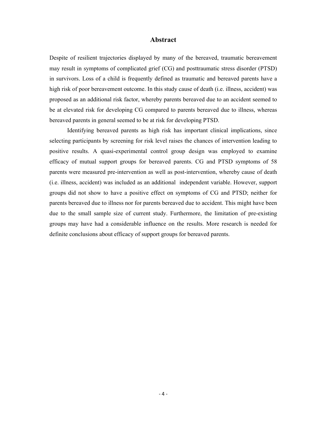#### **Abstract**

Despite of resilient trajectories displayed by many of the bereaved, traumatic bereavement may result in symptoms of complicated grief (CG) and posttraumatic stress disorder (PTSD) in survivors. Loss of a child is frequently defined as traumatic and bereaved parents have a high risk of poor bereavement outcome. In this study cause of death (i.e. illness, accident) was proposed as an additional risk factor, whereby parents bereaved due to an accident seemed to be at elevated risk for developing CG compared to parents bereaved due to illness, whereas bereaved parents in general seemed to be at risk for developing PTSD.

Identifying bereaved parents as high risk has important clinical implications, since selecting participants by screening for risk level raises the chances of intervention leading to positive results. A quasi-experimental control group design was employed to examine efficacy of mutual support groups for bereaved parents. CG and PTSD symptoms of 58 parents were measured pre-intervention as well as post-intervention, whereby cause of death (i.e. illness, accident) was included as an additional independent variable. However, support groups did not show to have a positive effect on symptoms of CG and PTSD; neither for parents bereaved due to illness nor for parents bereaved due to accident. This might have been due to the small sample size of current study. Furthermore, the limitation of pre-existing groups may have had a considerable influence on the results. More research is needed for definite conclusions about efficacy of support groups for bereaved parents.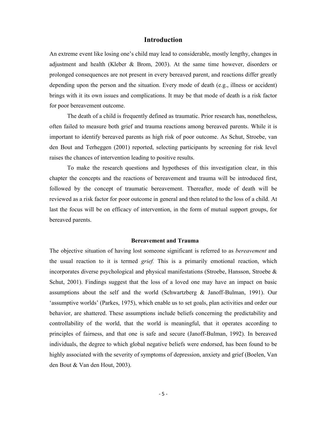### **Introduction**

An extreme event like losing one's child may lead to considerable, mostly lengthy, changes in adjustment and health (Kleber & Brom, 2003). At the same time however, disorders or prolonged consequences are not present in every bereaved parent, and reactions differ greatly depending upon the person and the situation. Every mode of death (e.g., illness or accident) brings with it its own issues and complications. It may be that mode of death is a risk factor for poor bereavement outcome.

The death of a child is frequently defined as traumatic. Prior research has, nonetheless, often failed to measure both grief and trauma reactions among bereaved parents. While it is important to identify bereaved parents as high risk of poor outcome. As Schut, Stroebe, van den Bout and Terheggen (2001) reported, selecting participants by screening for risk level raises the chances of intervention leading to positive results.

To make the research questions and hypotheses of this investigation clear, in this chapter the concepts and the reactions of bereavement and trauma will be introduced first, followed by the concept of traumatic bereavement. Thereafter, mode of death will be reviewed as a risk factor for poor outcome in general and then related to the loss of a child. At last the focus will be on efficacy of intervention, in the form of mutual support groups, for bereaved parents.

#### **Bereavement and Trauma**

The objective situation of having lost someone significant is referred to as *bereavement* and the usual reaction to it is termed *grief.* This is a primarily emotional reaction, which incorporates diverse psychological and physical manifestations (Stroebe, Hansson, Stroebe & Schut, 2001). Findings suggest that the loss of a loved one may have an impact on basic assumptions about the self and the world (Schwartzberg & Janoff-Bulman, 1991). Our 'assumptive worlds' (Parkes, 1975), which enable us to set goals, plan activities and order our behavior, are shattered. These assumptions include beliefs concerning the predictability and controllability of the world, that the world is meaningful, that it operates according to principles of fairness, and that one is safe and secure (Janoff-Bulman, 1992). In bereaved individuals, the degree to which global negative beliefs were endorsed, has been found to be highly associated with the severity of symptoms of depression, anxiety and grief (Boelen, Van den Bout & Van den Hout, 2003).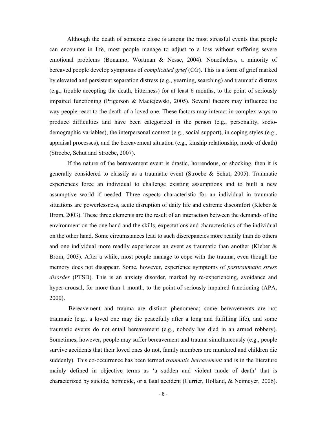Although the death of someone close is among the most stressful events that people can encounter in life, most people manage to adjust to a loss without suffering severe emotional problems (Bonanno, Wortman & Nesse, 2004). Nonetheless, a minority of bereaved people develop symptoms of *complicated grief* (CG). This is a form of grief marked by elevated and persistent separation distress (e.g., yearning, searching) and traumatic distress (e.g., trouble accepting the death, bitterness) for at least 6 months, to the point of seriously impaired functioning (Prigerson & Maciejewski, 2005). Several factors may influence the way people react to the death of a loved one. These factors may interact in complex ways to produce difficulties and have been categorized in the person (e.g., personality, sociodemographic variables), the interpersonal context (e.g., social support), in coping styles (e.g., appraisal processes), and the bereavement situation (e.g., kinship relationship, mode of death) (Stroebe, Schut and Stroebe, 2007).

If the nature of the bereavement event is drastic, horrendous, or shocking, then it is generally considered to classify as a traumatic event (Stroebe  $\&$  Schut, 2005). Traumatic experiences force an individual to challenge existing assumptions and to built a new assumptive world if needed. Three aspects characteristic for an individual in traumatic situations are powerlessness, acute disruption of daily life and extreme discomfort (Kleber & Brom, 2003). These three elements are the result of an interaction between the demands of the environment on the one hand and the skills, expectations and characteristics of the individual on the other hand. Some circumstances lead to such discrepancies more readily than do others and one individual more readily experiences an event as traumatic than another (Kleber & Brom, 2003). After a while, most people manage to cope with the trauma, even though the memory does not disappear. Some, however, experience symptoms of *posttraumatic stress disorder* (PTSD). This is an anxiety disorder, marked by re-experiencing, avoidance and hyper-arousal, for more than 1 month, to the point of seriously impaired functioning (APA, 2000).

Bereavement and trauma are distinct phenomena; some bereavements are not traumatic (e.g., a loved one may die peacefully after a long and fulfilling life), and some traumatic events do not entail bereavement (e.g., nobody has died in an armed robbery). Sometimes, however, people may suffer bereavement and trauma simultaneously (e.g., people survive accidents that their loved ones do not, family members are murdered and children die suddenly). This co-occurrence has been termed *traumatic bereavement* and is in the literature mainly defined in objective terms as 'a sudden and violent mode of death' that is characterized by suicide, homicide, or a fatal accident (Currier, Holland, & Neimeyer, 2006).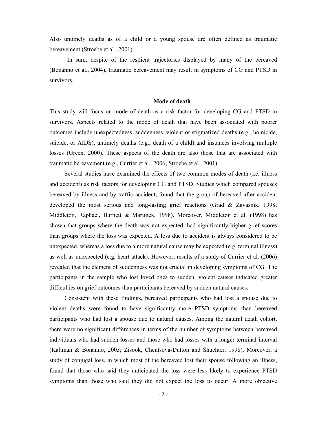Also untimely deaths as of a child or a young spouse are often defined as traumatic bereavement (Stroebe et al., 2001).

In sum, despite of the resilient trajectories displayed by many of the bereaved (Bonanno et al., 2004), traumatic bereavement may result in symptoms of CG and PTSD in survivors.

#### **Mode of death**

This study will focus on mode of death as a risk factor for developing CG and PTSD in survivors. Aspects related to the mode of death that have been associated with poorer outcomes include unexpectedness, suddenness, violent or stigmatized deaths (e.g., homicide, suicide, or AIDS), untimely deaths (e.g., death of a child) and instances involving multiple losses (Green, 2000). These aspects of the death are also those that are associated with traumatic bereavement (e.g., Currier et al., 2006; Stroebe et al., 2001).

Several studies have examined the effects of two common modes of death (i.e. illness and accident) as risk factors for developing CG and PTSD. Studies which compared spouses bereaved by illness and by traffic accident, found that the group of bereaved after accident developed the most serious and long-lasting grief reactions (Grad & Zavasnik, 1998; Middleton, Raphael, Burnett & Martinek, 1998). Moreover, Middleton et al. (1998) has shown that groups where the death was not expected, had significantly higher grief scores than groups where the loss was expected. A loss due to accident is always considered to be unexpected, whereas a loss due to a more natural cause may be expected (e.g. terminal illness) as well as unexpected (e.g. heart attack). However, results of a study of Currier et al. (2006) revealed that the element of suddenness was not crucial in developing symptoms of CG. The participants in the sample who lost loved ones to sudden, violent causes indicated greater difficulties on grief outcomes than participants bereaved by sudden natural causes.

Consistent with these findings, bereaved participants who had lost a spouse due to violent deaths were found to have significantly more PTSD symptoms than bereaved participants who had lost a spouse due to natural causes. Among the natural death cohort, there were no significant differences in terms of the number of symptoms between bereaved individuals who had sudden losses and those who had losses with a longer terminal interval (Kaltman & Bonanno, 2003; Zisook, Chentsova-Dutton and Shuchter, 1998). Moreover, a study of conjugal loss, in which most of the bereaved lost their spouse following an illness, found that those who said they anticipated the loss were less likely to experience PTSD symptoms than those who said they did not expect the loss to occur. A more objective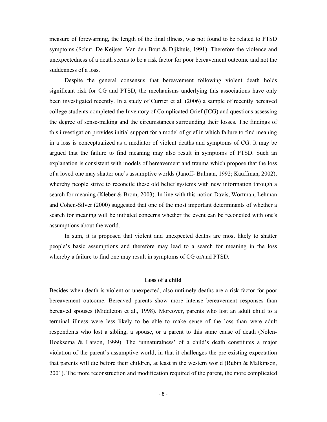measure of forewarning, the length of the final illness, was not found to be related to PTSD symptoms (Schut, De Keijser, Van den Bout & Dijkhuis, 1991). Therefore the violence and unexpectedness of a death seems to be a risk factor for poor bereavement outcome and not the suddenness of a loss.

Despite the general consensus that bereavement following violent death holds significant risk for CG and PTSD, the mechanisms underlying this associations have only been investigated recently. In a study of Currier et al. (2006) a sample of recently bereaved college students completed the Inventory of Complicated Grief (ICG) and questions assessing the degree of sense-making and the circumstances surrounding their losses. The findings of this investigation provides initial support for a model of grief in which failure to find meaning in a loss is conceptualized as a mediator of violent deaths and symptoms of CG. It may be argued that the failure to find meaning may also result in symptoms of PTSD. Such an explanation is consistent with models of bereavement and trauma which propose that the loss of a loved one may shatter one's assumptive worlds (Janoff- Bulman, 1992; Kauffman, 2002), whereby people strive to reconcile these old belief systems with new information through a search for meaning (Kleber & Brom, 2003). In line with this notion Davis, Wortman, Lehman and Cohen-Silver (2000) suggested that one of the most important determinants of whether a search for meaning will be initiated concerns whether the event can be reconciled with one's assumptions about the world.

In sum, it is proposed that violent and unexpected deaths are most likely to shatter people's basic assumptions and therefore may lead to a search for meaning in the loss whereby a failure to find one may result in symptoms of CG or/and PTSD.

#### **Loss of a child**

Besides when death is violent or unexpected, also untimely deaths are a risk factor for poor bereavement outcome. Bereaved parents show more intense bereavement responses than bereaved spouses (Middleton et al., 1998). Moreover, parents who lost an adult child to a terminal illness were less likely to be able to make sense of the loss than were adult respondents who lost a sibling, a spouse, or a parent to this same cause of death (Nolen-Hoeksema & Larson, 1999). The 'unnaturalness' of a child's death constitutes a major violation of the parent's assumptive world, in that it challenges the pre-existing expectation that parents will die before their children, at least in the western world (Rubin & Malkinson, 2001). The more reconstruction and modification required of the parent, the more complicated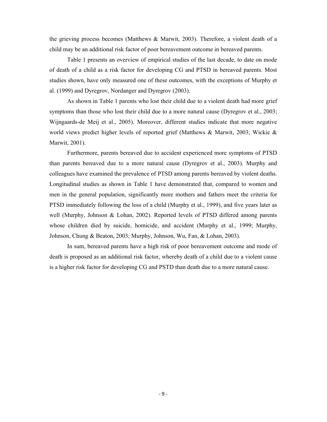the grieving process becomes (Matthews & Marwit, 2003). Therefore, a violent death of a child may be an additional risk factor of poor bereavement outcome in bereaved parents.

Table 1 presents an overview of empirical studies of the last decade, to date on mode of death of a child as a risk factor for developing CG and PTSD in bereaved parents. Most studies shown, have only measured one of these outcomes, with the exceptions of Murphy et al. (1999) and Dyregrov, Nordanger and Dyregrov (2003).

As shown in Table 1 parents who lost their child due to a violent death had more grief symptoms than those who lost their child due to a more natural cause (Dyregrov et al., 2003; Wijngaards-de Meij et al., 2005). Moreover, different studies indicate that more negative world views predict higher levels of reported grief (Matthews & Marwit, 2003; Wickie & Marwit, 2001).

Furthermore, parents bereaved due to accident experienced more symptoms of PTSD than parents bereaved due to a more natural cause (Dyregrov et al., 2003). Murphy and colleagues have examined the prevalence of PTSD among parents bereaved by violent deaths. Longitudinal studies as shown in Table 1 have demonstrated that, compared to women and men in the general population, significantly more mothers and fathers meet the criteria for PTSD immediately following the loss of a child (Murphy et al., 1999), and five years later as well (Murphy, Johnson & Lohan, 2002). Reported levels of PTSD differed among parents whose children died by suicide, homicide, and accident (Murphy et al., 1999; Murphy, Johnson, Chung & Beaton, 2003; Murphy, Johnson, Wu, Fan, & Lohan, 2003).

In sum, bereaved parents have a high risk of poor bereavement outcome and mode of death is proposed as an additional risk factor, whereby death of a child due to a violent cause is a higher risk factor for developing CG and PSTD than death due to a more natural cause.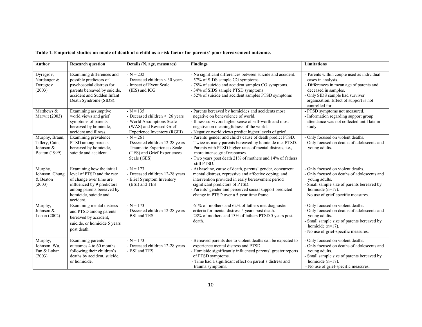| Table 1. Empirical studies on mode of death of a child as a risk factor for parents' poor bereavement outcome. |  |  |
|----------------------------------------------------------------------------------------------------------------|--|--|
|----------------------------------------------------------------------------------------------------------------|--|--|

| <b>Author</b>                                                  | <b>Research question</b>                                                                                                                                                            | Details (N, age, measures)                                                                                                          | <b>Findings</b>                                                                                                                                                                                                                                                                                                     | <b>Limitations</b>                                                                                                                                                                                                                   |
|----------------------------------------------------------------|-------------------------------------------------------------------------------------------------------------------------------------------------------------------------------------|-------------------------------------------------------------------------------------------------------------------------------------|---------------------------------------------------------------------------------------------------------------------------------------------------------------------------------------------------------------------------------------------------------------------------------------------------------------------|--------------------------------------------------------------------------------------------------------------------------------------------------------------------------------------------------------------------------------------|
| Dyregrov,<br>Nordanger &<br>Dyregrov<br>(2003)                 | Examining differences and<br>possible predictors of<br>psychosocial distress for<br>parents bereaved by suicide,<br>accident and Sudden Infant<br>Death Syndrome (SIDS).            | $-N = 232$<br>- Deceased children $<$ 30 years<br>- Impact of Event Scale<br>(IES) and ICG                                          | - No significant differences between suicide and accident.<br>- 57% of SIDS sample CG symptoms.<br>- 78% of suicide and accident samples CG symptoms.<br>- 34% of SIDS sample PTSD symptoms<br>- 52% of suicide and accident samples PTSD symptoms                                                                  | - Parents within couple used as individual<br>cases in analysis.<br>- Differences in mean age of parents and<br>deceased in samples.<br>- Only SIDS sample had survivor<br>organization. Effect of support is not<br>controlled for. |
| Matthews &<br>Marwit (2003)                                    | Examining assumptive<br>world views and grief<br>symptoms of parents<br>bereaved by homicide,<br>accident and illness.                                                              | $-N = 135$<br>- Deceased children < 26 years<br>- World Assumptions Scale<br>(WAS) and Revised Grief<br>Experience Inventory (RGEI) | - Parents bereaved by homicides and accidents most<br>negative on benevolence of world.<br>- Illness survivors higher sense of self-worth and most<br>negative on meaningfulness of the world.<br>- Negative world views predict higher levels of grief.                                                            | - PTSD symptoms not measured.<br>- Information regarding support group<br>attendance was not collected until late in<br>study.                                                                                                       |
| Murphy, Braun,<br>Tillery, Cain,<br>Johnson &<br>Beaton (1999) | Examining prevalence<br>PTSD among parents<br>bereaved by homicide,<br>suicide and accident.                                                                                        | $-N = 261$<br>- Deceased children 12-28 years<br>- Traumatic Experiences Scale<br>(TES) and Grief Experiences<br>Scale (GES)        | - Parents' gender and child's cause of death predict PTSD.<br>- Twice as many parents bereaved by homicide met PTSD.<br>- Parents with PTSD higher rates of mental distress, i.e.,<br>more intense grief responses.<br>- Two years post death 21% of mothers and 14% of fathers<br>still PTSD.                      | - Only focused on violent deaths.<br>- Only focused on deaths of adolescents and<br>young adults.                                                                                                                                    |
| Murphy,<br>Johnson, Chung<br>& Beaton<br>(2003)                | Examining how the initial<br>level of PTSD and the rate<br>of change over time are<br>influenced by 9 predictors<br>among parents bereaved by<br>homicide, suicide and<br>accident. | $-N = 173$<br>- Deceased children 12-28 years<br>- Brief Symptom Inventory<br>(BSI) and TES                                         | - At baseline, cause of death, parents' gender, concurrent<br>mental distress, repressive and affective coping, and<br>intervention provided in early bereavement period<br>significant predictors of PTSD.<br>- Parents' gender and perceived social support predicted<br>change in PTSD over a 5-year time frame. | - Only focused on violent deaths.<br>- Only focused on deaths of adolescents and<br>voung adults.<br>- Small sample size of parents bereaved by<br>homicide $(n=17)$ .<br>- No use of grief-specific measures.                       |
| Murphy,<br>Johnson &<br>Lohan (2002)                           | Examining mental distress<br>and PTSD among parents<br>bereaved by accident,<br>suicide, or homicide 5 years<br>post death.                                                         | $-N = 173$<br>- Deceased children 12-28 years<br>- BSI and TES                                                                      | - 61% of mothers and 62% of fathers met diagnostic<br>criteria for mental distress 5 years post death.<br>- 28% of mothers and 13% of fathers PTSD 5 years post<br>death.                                                                                                                                           | - Only focused on violent deaths.<br>- Only focused on deaths of adolescents and<br>young adults.<br>- Small sample size of parents bereaved by<br>homicide $(n=17)$ .<br>- No use of grief-specific measures.                       |
| Murphy,<br>Johnson, Wu,<br>Fan & Lohan<br>(2003)               | Examining parents'<br>outcomes 4 to 60 months<br>following their children's<br>deaths by accident, suicide,<br>or homicide.                                                         | $N = 173$<br>- Deceased children 12-28 years<br>- BSI and TES                                                                       | - Bereaved parents due to violent deaths can be expected to<br>experience mental distress and PTSD.<br>- Homicide significantly influenced parents' greater reports<br>of PTSD symptoms.<br>- Time had a significant effect on parent's distress and<br>trauma symptoms.                                            | - Only focused on violent deaths.<br>- Only focused on deaths of adolescents and<br>voung adults.<br>- Small sample size of parents bereaved by<br>homicide $(n=17)$ .<br>- No use of grief-specific measures.                       |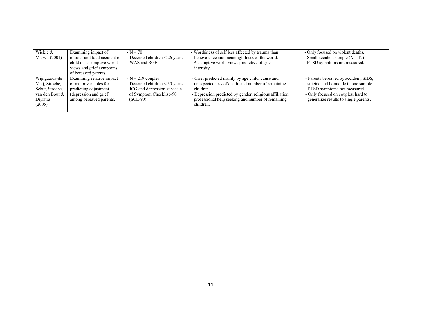| Wickie &        | Examining impact of          | $-N = 70$                        | - Worthiness of self less affected by trauma than        | - Only focused on violent deaths.     |
|-----------------|------------------------------|----------------------------------|----------------------------------------------------------|---------------------------------------|
| Marwit (2001)   | murder and fatal accident of | - Deceased children < 26 years   | benevolence and meaningfulness of the world.             | - Small accident sample $(N = 12)$    |
|                 | child on assumptive world    | - WAS and RGEI                   | - Assumptive world views predictive of grief             | - PTSD symptoms not measured.         |
|                 | views and grief symptoms     |                                  | intensity.                                               |                                       |
|                 | of bereaved parents.         |                                  |                                                          |                                       |
| Wijngaards-de   | Examining relative impact    | $-N = 219$ couples               | - Grief predicted mainly by age child, cause and         | - Parents bereaved by accident, SIDS, |
| Meij, Stroebe,  | of major variables for       | - Deceased children $<$ 30 years | unexpectedness of death, and number of remaining         | suicide and homicide in one sample.   |
| Schut, Stroebe, | predicting adjustment        | - ICG and depression subscale    | children.                                                | - PTSD symptoms not measured.         |
| van den Bout &  | (depression and grief)       | of Symptom Checklist-90          | - Depression predicted by gender, religious affiliation, | - Only focused on couples, hard to    |
| Dijkstra        | among bereaved parents.      | $(SCL-90)$                       | professional help seeking and number of remaining        | generalize results to single parents. |
| (2005)          |                              |                                  | children.                                                |                                       |
|                 |                              |                                  |                                                          |                                       |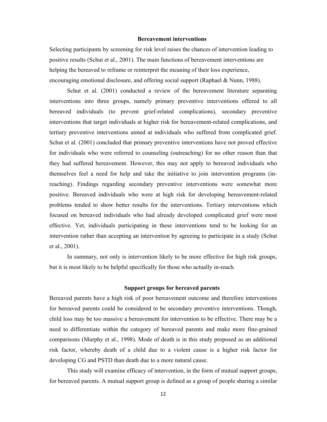#### **Bereavement interventions**

Selecting participants by screening for risk level raises the chances of intervention leading to positive results (Schut et al., 2001). The main functions of bereavement interventions are helping the bereaved to reframe or reinterpret the meaning of their loss experience, encouraging emotional disclosure, and offering social support (Raphael & Nunn, 1988).

Schut et al. (2001) conducted a review of the bereavement literature separating interventions into three groups, namely primary preventive interventions offered to all bereaved individuals (to prevent grief-related complications), secondary preventive interventions that target individuals at higher risk for bereavement-related complications, and tertiary preventive interventions aimed at individuals who suffered from complicated grief. Schut et al. (2001) concluded that primary preventive interventions have not proved effective for individuals who were referred to counseling (outreaching) for no other reason than that they had suffered bereavement. However, this may not apply to bereaved individuals who themselves feel a need for help and take the initiative to join intervention programs (inreaching). Findings regarding secondary preventive interventions were somewhat more positive. Bereaved individuals who were at high risk for developing bereavement-related problems tended to show better results for the interventions. Tertiary interventions which focused on bereaved individuals who had already developed complicated grief were most effective. Yet, individuals participating in these interventions tend to be looking for an intervention rather than accepting an intervention by agreeing to participate in a study (Schut et al., 2001).

In summary, not only is intervention likely to be more effective for high risk groups, but it is most likely to be helpful specifically for those who actually in-reach*.*

#### **Support groups for bereaved parents**

Bereaved parents have a high risk of poor bereavement outcome and therefore interventions for bereaved parents could be considered to be secondary preventive interventions. Though, child loss may be too massive a bereavement for intervention to be effective. There may be a need to differentiate within the category of bereaved parents and make more fine-grained comparisons (Murphy et al., 1998). Mode of death is in this study proposed as an additional risk factor, whereby death of a child due to a violent cause is a higher risk factor for developing CG and PSTD than death due to a more natural cause.

This study will examine efficacy of intervention, in the form of mutual support groups, for bereaved parents. A mutual support group is defined as a group of people sharing a similar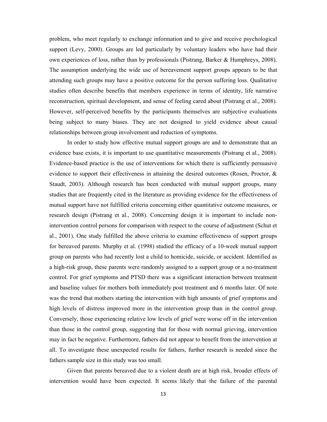problem, who meet regularly to exchange information and to give and receive psychological support (Levy, 2000). Groups are led particularly by voluntary leaders who have had their own experiences of loss, rather than by professionals (Pistrang, Barker & Humphreys, 2008). The assumption underlying the wide use of bereavement support groups appears to be that attending such groups may have a positive outcome for the person suffering loss. Qualitative studies often describe benefits that members experience in terms of identity, life narrative reconstruction, spiritual development, and sense of feeling cared about (Pistrang et al., 2008). However, self-perceived benefits by the participants themselves are subjective evaluations being subject to many biases. They are not designed to yield evidence about causal relationships between group involvement and reduction of symptoms.

In order to study how effective mutual support groups are and to demonstrate that an evidence base exists, it is important to use quantitative measurements (Pistrang et al., 2008). Evidence-based practice is the use of interventions for which there is sufficiently persuasive evidence to support their effectiveness in attaining the desired outcomes (Rosen, Proctor, & Staudt, 2003). Although research has been conducted with mutual support groups, many studies that are frequently cited in the literature as providing evidence for the effectiveness of mutual support have not fulfilled criteria concerning either quantitative outcome measures, or research design (Pistrang et al., 2008). Concerning design it is important to include nonintervention control persons for comparison with respect to the course of adjustment (Schut et al., 2001). One study fulfilled the above criteria to examine effectiveness of support groups for bereaved parents. Murphy et al. (1998) studied the efficacy of a 10-week mutual support group on parents who had recently lost a child to homicide, suicide, or accident. Identified as a high-risk group, these parents were randomly assigned to a support group or a no-treatment control. For grief symptoms and PTSD there was a significant interaction between treatment and baseline values for mothers both immediately post treatment and 6 months later. Of note was the trend that mothers starting the intervention with high amounts of grief symptoms and high levels of distress improved more in the intervention group than in the control group. Conversely, those experiencing relative low levels of grief were worse off in the intervention than those in the control group, suggesting that for those with normal grieving, intervention may in fact be negative. Furthermore, fathers did not appear to benefit from the intervention at all. To investigate these unexpected results for fathers, further research is needed since the fathers sample size in this study was too small.

Given that parents bereaved due to a violent death are at high risk, broader effects of intervention would have been expected. It seems likely that the failure of the parental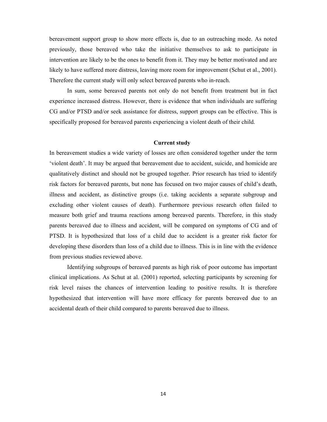bereavement support group to show more effects is, due to an outreaching mode. As noted previously, those bereaved who take the initiative themselves to ask to participate in intervention are likely to be the ones to benefit from it. They may be better motivated and are likely to have suffered more distress, leaving more room for improvement (Schut et al., 2001). Therefore the current study will only select bereaved parents who in-reach.

In sum, some bereaved parents not only do not benefit from treatment but in fact experience increased distress. However, there is evidence that when individuals are suffering CG and/or PTSD and/or seek assistance for distress, support groups can be effective. This is specifically proposed for bereaved parents experiencing a violent death of their child.

#### **Current study**

In bereavement studies a wide variety of losses are often considered together under the term 'violent death'. It may be argued that bereavement due to accident, suicide, and homicide are qualitatively distinct and should not be grouped together. Prior research has tried to identify risk factors for bereaved parents, but none has focused on two major causes of child's death, illness and accident, as distinctive groups (i.e. taking accidents a separate subgroup and excluding other violent causes of death). Furthermore previous research often failed to measure both grief and trauma reactions among bereaved parents. Therefore, in this study parents bereaved due to illness and accident, will be compared on symptoms of CG and of PTSD. It is hypothesized that loss of a child due to accident is a greater risk factor for developing these disorders than loss of a child due to illness. This is in line with the evidence from previous studies reviewed above.

Identifying subgroups of bereaved parents as high risk of poor outcome has important clinical implications. As Schut at al. (2001) reported, selecting participants by screening for risk level raises the chances of intervention leading to positive results. It is therefore hypothesized that intervention will have more efficacy for parents bereaved due to an accidental death of their child compared to parents bereaved due to illness.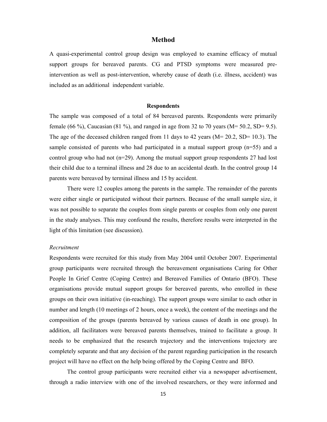#### **Method**

A quasi-experimental control group design was employed to examine efficacy of mutual support groups for bereaved parents. CG and PTSD symptoms were measured preintervention as well as post-intervention, whereby cause of death (i.e. illness, accident) was included as an additional independent variable.

#### **Respondents**

The sample was composed of a total of 84 bereaved parents. Respondents were primarily female (66 %), Caucasian (81 %), and ranged in age from 32 to 70 years ( $M = 50.2$ ,  $SD = 9.5$ ). The age of the deceased children ranged from 11 days to 42 years (M= 20.2, SD= 10.3). The sample consisted of parents who had participated in a mutual support group  $(n=55)$  and a control group who had not (n=29). Among the mutual support group respondents 27 had lost their child due to a terminal illness and 28 due to an accidental death. In the control group 14 parents were bereaved by terminal illness and 15 by accident.

There were 12 couples among the parents in the sample. The remainder of the parents were either single or participated without their partners. Because of the small sample size, it was not possible to separate the couples from single parents or couples from only one parent in the study analyses. This may confound the results, therefore results were interpreted in the light of this limitation (see discussion).

#### *Recruitment*

Respondents were recruited for this study from May 2004 until October 2007. Experimental group participants were recruited through the bereavement organisations Caring for Other People In Grief Centre (Coping Centre) and Bereaved Families of Ontario (BFO). These organisations provide mutual support groups for bereaved parents, who enrolled in these groups on their own initiative (in-reaching). The support groups were similar to each other in number and length (10 meetings of 2 hours, once a week), the content of the meetings and the composition of the groups (parents bereaved by various causes of death in one group). In addition, all facilitators were bereaved parents themselves, trained to facilitate a group. It needs to be emphasized that the research trajectory and the interventions trajectory are completely separate and that any decision of the parent regarding participation in the research project will have no effect on the help being offered by the Coping Centre and BFO.

The control group participants were recruited either via a newspaper advertisement, through a radio interview with one of the involved researchers, or they were informed and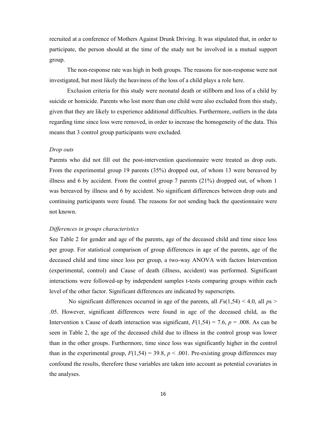recruited at a conference of Mothers Against Drunk Driving. It was stipulated that, in order to participate, the person should at the time of the study not be involved in a mutual support group.

The non-response rate was high in both groups. The reasons for non-response were not investigated, but most likely the heaviness of the loss of a child plays a role here.

Exclusion criteria for this study were neonatal death or stillborn and loss of a child by suicide or homicide. Parents who lost more than one child were also excluded from this study, given that they are likely to experience additional difficulties. Furthermore, outliers in the data regarding time since loss were removed, in order to increase the homogeneity of the data. This means that 3 control group participants were excluded.

#### *Drop outs*

Parents who did not fill out the post-intervention questionnaire were treated as drop outs. From the experimental group 19 parents (35%) dropped out, of whom 13 were bereaved by illness and 6 by accident. From the control group 7 parents (21%) dropped out, of whom 1 was bereaved by illness and 6 by accident. No significant differences between drop outs and continuing participants were found. The reasons for not sending back the questionnaire were not known.

#### *Differences in groups characteristics*

See Table 2 for gender and age of the parents, age of the deceased child and time since loss per group. For statistical comparison of group differences in age of the parents, age of the deceased child and time since loss per group, a two-way ANOVA with factors Intervention (experimental, control) and Cause of death (illness, accident) was performed. Significant interactions were followed-up by independent samples t-tests comparing groups within each level of the other factor. Significant differences are indicated by superscripts.

No significant differences occurred in age of the parents, all  $Fs(1,54) < 4.0$ , all  $ps >$ .05. However, significant differences were found in age of the deceased child, as the Intervention x Cause of death interaction was significant,  $F(1,54) = 7.6$ ,  $p = .008$ . As can be seen in Table 2, the age of the deceased child due to illness in the control group was lower than in the other groups. Furthermore, time since loss was significantly higher in the control than in the experimental group,  $F(1,54) = 39.8$ ,  $p < .001$ . Pre-existing group differences may confound the results, therefore these variables are taken into account as potential covariates in the analyses.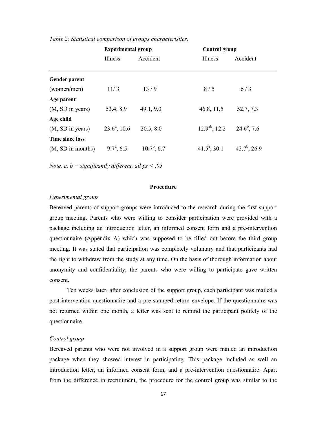|                      | <b>Experimental group</b> |               | <b>Control group</b>              |                 |
|----------------------|---------------------------|---------------|-----------------------------------|-----------------|
|                      | Illness                   | Accident      | Illness                           | Accident        |
| <b>Gender parent</b> |                           |               |                                   |                 |
| (women/men)          | 11/3                      | 13/9          | 8/5                               | 6/3             |
| Age parent           |                           |               |                                   |                 |
| (M, SD in years)     | 53.4, 8.9                 | 49.1, 9.0     | 46.8, 11.5                        | 52.7, 7.3       |
| Age child            |                           |               |                                   |                 |
| (M, SD in years)     | $23.6^a$ , 10.6           | 20.5, 8.0     | $12.9^{ab}$ , 12.2 $24.6^b$ , 7.6 |                 |
| Time since loss      |                           |               |                                   |                 |
| (M, SD in months)    | $9.7^{\circ}, 6.5$        | $10.7^b, 6.7$ | $41.5^a$ , 30.1                   | $42.7^b$ , 26.9 |

*Table 2: Statistical comparison of groups characteristics.*

*Note. a, b = significantly different, all ps < .05*

#### **Procedure**

#### *Experimental group*

Bereaved parents of support groups were introduced to the research during the first support group meeting. Parents who were willing to consider participation were provided with a package including an introduction letter, an informed consent form and a pre-intervention questionnaire (Appendix A) which was supposed to be filled out before the third group meeting. It was stated that participation was completely voluntary and that participants had the right to withdraw from the study at any time. On the basis of thorough information about anonymity and confidentiality, the parents who were willing to participate gave written consent.

Ten weeks later, after conclusion of the support group, each participant was mailed a post-intervention questionnaire and a pre-stamped return envelope. If the questionnaire was not returned within one month, a letter was sent to remind the participant politely of the questionnaire.

#### *Control group*

Bereaved parents who were not involved in a support group were mailed an introduction package when they showed interest in participating. This package included as well an introduction letter, an informed consent form, and a pre-intervention questionnaire. Apart from the difference in recruitment, the procedure for the control group was similar to the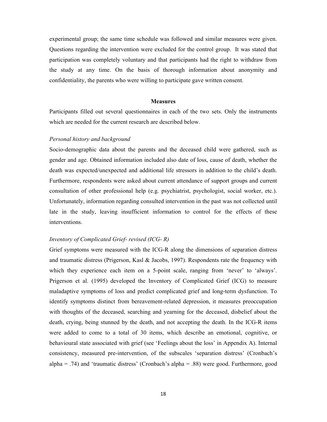experimental group; the same time schedule was followed and similar measures were given. Questions regarding the intervention were excluded for the control group. It was stated that participation was completely voluntary and that participants had the right to withdraw from the study at any time. On the basis of thorough information about anonymity and confidentiality, the parents who were willing to participate gave written consent.

#### **Measures**

Participants filled out several questionnaires in each of the two sets. Only the instruments which are needed for the current research are described below.

#### *Personal history and background*

Socio-demographic data about the parents and the deceased child were gathered, such as gender and age. Obtained information included also date of loss, cause of death, whether the death was expected/unexpected and additional life stressors in addition to the child's death. Furthermore, respondents were asked about current attendance of support groups and current consultation of other professional help (e.g. psychiatrist, psychologist, social worker, etc.). Unfortunately, information regarding consulted intervention in the past was not collected until late in the study, leaving insufficient information to control for the effects of these interventions.

#### *Inventory of Complicated Grief- revised (ICG- R)*

Grief symptoms were measured with the ICG-R along the dimensions of separation distress and traumatic distress (Prigerson, Kasl & Jacobs, 1997). Respondents rate the frequency with which they experience each item on a 5-point scale, ranging from 'never' to 'always'. Prigerson et al. (1995) developed the Inventory of Complicated Grief (ICG) to measure maladaptive symptoms of loss and predict complicated grief and long-term dysfunction. To identify symptoms distinct from bereavement-related depression, it measures preoccupation with thoughts of the deceased, searching and yearning for the deceased, disbelief about the death, crying, being stunned by the death, and not accepting the death. In the ICG-R items were added to come to a total of 30 items, which describe an emotional, cognitive, or behavioural state associated with grief (see 'Feelings about the loss' in Appendix A). Internal consistency, measured pre-intervention, of the subscales 'separation distress' (Cronbach's alpha = .74) and 'traumatic distress' (Cronbach's alpha = .88) were good. Furthermore, good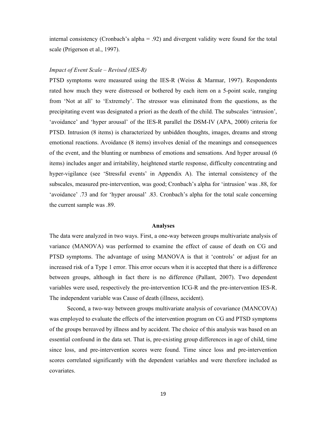internal consistency (Cronbach's alpha = .92) and divergent validity were found for the total scale (Prigerson et al., 1997).

#### *Impact of Event Scale – Revised (IES-R)*

PTSD symptoms were measured using the IES-R (Weiss & Marmar, 1997). Respondents rated how much they were distressed or bothered by each item on a 5-point scale, ranging from 'Not at all' to 'Extremely'. The stressor was eliminated from the questions, as the precipitating event was designated a priori as the death of the child. The subscales 'intrusion', 'avoidance' and 'hyper arousal' of the IES-R parallel the DSM-IV (APA, 2000) criteria for PTSD. Intrusion (8 items) is characterized by unbidden thoughts, images, dreams and strong emotional reactions. Avoidance (8 items) involves denial of the meanings and consequences of the event, and the blunting or numbness of emotions and sensations. And hyper arousal (6 items) includes anger and irritability, heightened startle response, difficulty concentrating and hyper-vigilance (see 'Stressful events' in Appendix A). The internal consistency of the subscales, measured pre-intervention, was good; Cronbach's alpha for 'intrusion' was .88, for 'avoidance' .73 and for 'hyper arousal' .83. Cronbach's alpha for the total scale concerning the current sample was .89.

#### **Analyses**

The data were analyzed in two ways. First, a one-way between groups multivariate analysis of variance (MANOVA) was performed to examine the effect of cause of death on CG and PTSD symptoms. The advantage of using MANOVA is that it 'controls' or adjust for an increased risk of a Type 1 error. This error occurs when it is accepted that there is a difference between groups, although in fact there is no difference (Pallant, 2007). Two dependent variables were used, respectively the pre-intervention ICG-R and the pre-intervention IES-R. The independent variable was Cause of death (illness, accident).

Second, a two-way between groups multivariate analysis of covariance (MANCOVA) was employed to evaluate the effects of the intervention program on CG and PTSD symptoms of the groups bereaved by illness and by accident. The choice of this analysis was based on an essential confound in the data set. That is, pre-existing group differences in age of child, time since loss, and pre-intervention scores were found. Time since loss and pre-intervention scores correlated significantly with the dependent variables and were therefore included as covariates.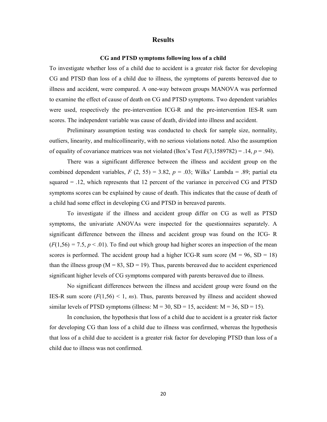#### **Results**

#### **CG and PTSD symptoms following loss of a child**

To investigate whether loss of a child due to accident is a greater risk factor for developing CG and PTSD than loss of a child due to illness, the symptoms of parents bereaved due to illness and accident, were compared. A one-way between groups MANOVA was performed to examine the effect of cause of death on CG and PTSD symptoms. Two dependent variables were used, respectively the pre-intervention ICG-R and the pre-intervention IES-R sum scores. The independent variable was cause of death, divided into illness and accident.

Preliminary assumption testing was conducted to check for sample size, normality, outliers, linearity, and multicollinearity, with no serious violations noted. Also the assumption of equality of covariance matrices was not violated (Box's Test  $F(3,1589782) = .14, p = .94$ ).

There was a significant difference between the illness and accident group on the combined dependent variables,  $F(2, 55) = 3.82$ ,  $p = .03$ ; Wilks' Lambda = .89; partial eta squared  $= .12$ , which represents that 12 percent of the variance in perceived CG and PTSD symptoms scores can be explained by cause of death. This indicates that the cause of death of a child had some effect in developing CG and PTSD in bereaved parents.

To investigate if the illness and accident group differ on CG as well as PTSD symptoms, the univariate ANOVAs were inspected for the questionnaires separately. A significant difference between the illness and accident group was found on the ICG- R  $(F(1,56) = 7.5, p < .01)$ . To find out which group had higher scores an inspection of the mean scores is performed. The accident group had a higher ICG-R sum score  $(M = 96, SD = 18)$ than the illness group ( $M = 83$ ,  $SD = 19$ ). Thus, parents bereaved due to accident experienced significant higher levels of CG symptoms compared with parents bereaved due to illness.

No significant differences between the illness and accident group were found on the IES-R sum score  $(F(1,56) \le 1, ns)$ . Thus, parents bereaved by illness and accident showed similar levels of PTSD symptoms (illness:  $M = 30$ ,  $SD = 15$ , accident:  $M = 36$ ,  $SD = 15$ ).

In conclusion, the hypothesis that loss of a child due to accident is a greater risk factor for developing CG than loss of a child due to illness was confirmed, whereas the hypothesis that loss of a child due to accident is a greater risk factor for developing PTSD than loss of a child due to illness was not confirmed.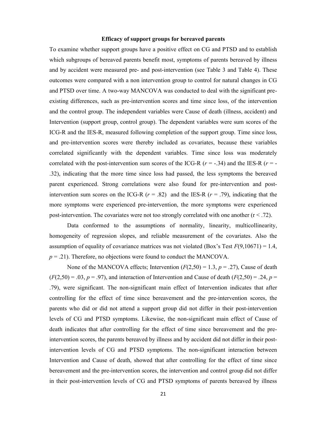#### **Efficacy of support groups for bereaved parents**

To examine whether support groups have a positive effect on CG and PTSD and to establish which subgroups of bereaved parents benefit most, symptoms of parents bereaved by illness and by accident were measured pre- and post-intervention (see Table 3 and Table 4). These outcomes were compared with a non intervention group to control for natural changes in CG and PTSD over time. A two-way MANCOVA was conducted to deal with the significant preexisting differences, such as pre-intervention scores and time since loss, of the intervention and the control group. The independent variables were Cause of death (illness, accident) and Intervention (support group, control group). The dependent variables were sum scores of the ICG-R and the IES-R, measured following completion of the support group. Time since loss, and pre-intervention scores were thereby included as covariates, because these variables correlated significantly with the dependent variables. Time since loss was moderately correlated with the post-intervention sum scores of the ICG-R  $(r = -34)$  and the IES-R  $(r = -16)$ .32), indicating that the more time since loss had passed, the less symptoms the bereaved parent experienced. Strong correlations were also found for pre-intervention and postintervention sum scores on the ICG-R  $(r = .82)$  and the IES-R  $(r = .79)$ , indicating that the more symptoms were experienced pre-intervention, the more symptoms were experienced post-intervention. The covariates were not too strongly correlated with one another  $(r < .72)$ .

Data conformed to the assumptions of normality, linearity, multicollinearity, homogeneity of regression slopes, and reliable measurement of the covariates. Also the assumption of equality of covariance matrices was not violated (Box's Test  $F(9,10671) = 1.4$ ,  $p = .21$ ). Therefore, no objections were found to conduct the MANCOVA.

None of the MANCOVA effects; Intervention  $(F(2,50) = 1.3, p = .27)$ , Cause of death  $(F(2,50) = .03, p = .97)$ , and interaction of Intervention and Cause of death  $(F(2,50) = .24, p = .97)$ .79), were significant. The non-significant main effect of Intervention indicates that after controlling for the effect of time since bereavement and the pre-intervention scores, the parents who did or did not attend a support group did not differ in their post-intervention levels of CG and PTSD symptoms. Likewise, the non-significant main effect of Cause of death indicates that after controlling for the effect of time since bereavement and the preintervention scores, the parents bereaved by illness and by accident did not differ in their postintervention levels of CG and PTSD symptoms. The non-significant interaction between Intervention and Cause of death, showed that after controlling for the effect of time since bereavement and the pre-intervention scores, the intervention and control group did not differ in their post-intervention levels of CG and PTSD symptoms of parents bereaved by illness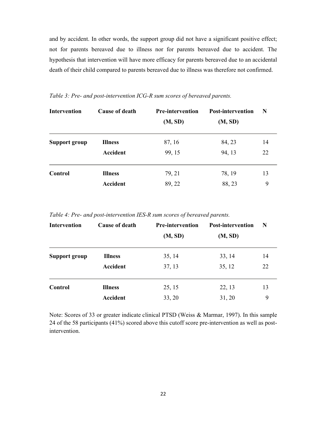and by accident. In other words, the support group did not have a significant positive effect; not for parents bereaved due to illness nor for parents bereaved due to accident. The hypothesis that intervention will have more efficacy for parents bereaved due to an accidental death of their child compared to parents bereaved due to illness was therefore not confirmed.

| <b>Intervention</b> | <b>Cause of death</b> | <b>Pre-intervention</b><br>(M, SD) | <b>Post-intervention</b><br>(M, SD) | N  |
|---------------------|-----------------------|------------------------------------|-------------------------------------|----|
| Support group       | <b>Illness</b>        | 87, 16                             | 84, 23                              | 14 |
|                     | Accident              | 99, 15                             | 94, 13                              | 22 |
| Control             | <b>Illness</b>        | 79, 21                             | 78, 19                              | 13 |
|                     | Accident              | 89, 22                             | 88, 23                              | 9  |

*Table 3: Pre- and post-intervention ICG-R sum scores of bereaved parents.*

*Table 4: Pre- and post-intervention IES-R sum scores of bereaved parents.*

| <b>Intervention</b> | <b>Cause of death</b> | <b>Pre-intervention</b><br>(M, SD) | <b>Post-intervention</b><br>(M, SD) | N  |
|---------------------|-----------------------|------------------------------------|-------------------------------------|----|
| Support group       | <b>Illness</b>        | 35, 14                             | 33, 14                              | 14 |
|                     | Accident              | 37, 13                             | 35, 12                              | 22 |
| Control             | <b>Illness</b>        | 25, 15                             | 22, 13                              | 13 |
|                     | <b>Accident</b>       | 33, 20                             | 31, 20                              | 9  |

Note: Scores of 33 or greater indicate clinical PTSD (Weiss & Marmar, 1997). In this sample 24 of the 58 participants (41%) scored above this cutoff score pre-intervention as well as postintervention.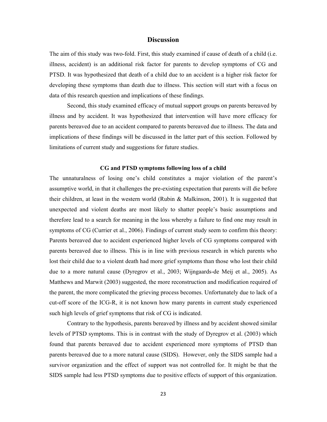#### **Discussion**

The aim of this study was two-fold. First, this study examined if cause of death of a child (i.e. illness, accident) is an additional risk factor for parents to develop symptoms of CG and PTSD. It was hypothesized that death of a child due to an accident is a higher risk factor for developing these symptoms than death due to illness. This section will start with a focus on data of this research question and implications of these findings.

Second, this study examined efficacy of mutual support groups on parents bereaved by illness and by accident. It was hypothesized that intervention will have more efficacy for parents bereaved due to an accident compared to parents bereaved due to illness. The data and implications of these findings will be discussed in the latter part of this section. Followed by limitations of current study and suggestions for future studies.

#### **CG and PTSD symptoms following loss of a child**

The unnaturalness of losing one's child constitutes a major violation of the parent's assumptive world, in that it challenges the pre-existing expectation that parents will die before their children, at least in the western world (Rubin & Malkinson, 2001). It is suggested that unexpected and violent deaths are most likely to shatter people's basic assumptions and therefore lead to a search for meaning in the loss whereby a failure to find one may result in symptoms of CG (Currier et al., 2006). Findings of current study seem to confirm this theory: Parents bereaved due to accident experienced higher levels of CG symptoms compared with parents bereaved due to illness. This is in line with previous research in which parents who lost their child due to a violent death had more grief symptoms than those who lost their child due to a more natural cause (Dyregrov et al., 2003; Wijngaards-de Meij et al., 2005). As Matthews and Marwit (2003) suggested, the more reconstruction and modification required of the parent, the more complicated the grieving process becomes. Unfortunately due to lack of a cut-off score of the ICG-R, it is not known how many parents in current study experienced such high levels of grief symptoms that risk of CG is indicated.

Contrary to the hypothesis, parents bereaved by illness and by accident showed similar levels of PTSD symptoms. This is in contrast with the study of Dyregrov et al. (2003) which found that parents bereaved due to accident experienced more symptoms of PTSD than parents bereaved due to a more natural cause (SIDS). However, only the SIDS sample had a survivor organization and the effect of support was not controlled for. It might be that the SIDS sample had less PTSD symptoms due to positive effects of support of this organization.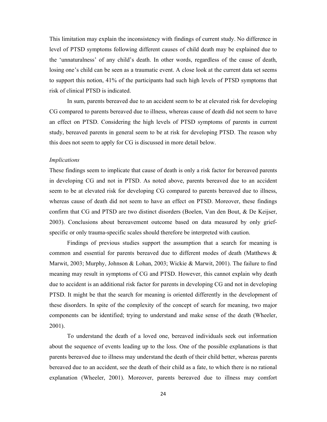This limitation may explain the inconsistency with findings of current study. No difference in level of PTSD symptoms following different causes of child death may be explained due to the 'unnaturalness' of any child's death. In other words, regardless of the cause of death, losing one's child can be seen as a traumatic event. A close look at the current data set seems to support this notion, 41% of the participants had such high levels of PTSD symptoms that risk of clinical PTSD is indicated.

In sum, parents bereaved due to an accident seem to be at elevated risk for developing CG compared to parents bereaved due to illness, whereas cause of death did not seem to have an effect on PTSD. Considering the high levels of PTSD symptoms of parents in current study, bereaved parents in general seem to be at risk for developing PTSD. The reason why this does not seem to apply for CG is discussed in more detail below.

#### *Implications*

These findings seem to implicate that cause of death is only a risk factor for bereaved parents in developing CG and not in PTSD. As noted above, parents bereaved due to an accident seem to be at elevated risk for developing CG compared to parents bereaved due to illness, whereas cause of death did not seem to have an effect on PTSD. Moreover, these findings confirm that CG and PTSD are two distinct disorders (Boelen, Van den Bout, & De Keijser, 2003). Conclusions about bereavement outcome based on data measured by only griefspecific or only trauma-specific scales should therefore be interpreted with caution.

Findings of previous studies support the assumption that a search for meaning is common and essential for parents bereaved due to different modes of death (Matthews & Marwit, 2003; Murphy, Johnson & Lohan, 2003; Wickie & Marwit, 2001). The failure to find meaning may result in symptoms of CG and PTSD. However, this cannot explain why death due to accident is an additional risk factor for parents in developing CG and not in developing PTSD. It might be that the search for meaning is oriented differently in the development of these disorders. In spite of the complexity of the concept of search for meaning, two major components can be identified; trying to understand and make sense of the death (Wheeler, 2001).

To understand the death of a loved one, bereaved individuals seek out information about the sequence of events leading up to the loss. One of the possible explanations is that parents bereaved due to illness may understand the death of their child better, whereas parents bereaved due to an accident, see the death of their child as a fate, to which there is no rational explanation (Wheeler, 2001). Moreover, parents bereaved due to illness may comfort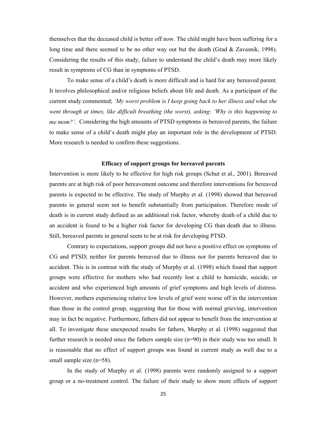themselves that the deceased child is better off now. The child might have been suffering for a long time and there seemed to be no other way out but the death (Grad  $&$  Zavasnik, 1998). Considering the results of this study, failure to understand the child's death may more likely result in symptoms of CG than in symptoms of PTSD.

To make sense of a child's death is more difficult and is hard for any bereaved parent. It involves philosophical and/or religious beliefs about life and death. As a participant of the current study commented; *'My worst problem is I keep going back to her illness and what she went through at times, like difficult breathing (the worst), asking: 'Why is this happening to me mom?'*. Considering the high amounts of PTSD symptoms in bereaved parents, the failure to make sense of a child's death might play an important role in the development of PTSD. More research is needed to confirm these suggestions.

#### **Efficacy of support groups for bereaved parents**

Intervention is more likely to be effective for high risk groups (Schut et al., 2001). Bereaved parents are at high risk of poor bereavement outcome and therefore interventions for bereaved parents is expected to be effective. The study of Murphy et al. (1998) showed that bereaved parents in general seem not to benefit substantially from participation. Therefore mode of death is in current study defined as an additional risk factor, whereby death of a child due to an accident is found to be a higher risk factor for developing CG than death due to illness. Still, bereaved parents in general seem to be at risk for developing PTSD.

Contrary to expectations, support groups did not have a positive effect on symptoms of CG and PTSD; neither for parents bereaved due to illness nor for parents bereaved due to accident. This is in contrast with the study of Murphy et al. (1998) which found that support groups were effective for mothers who had recently lost a child to homicide, suicide, or accident and who experienced high amounts of grief symptoms and high levels of distress. However, mothers experiencing relative low levels of grief were worse off in the intervention than those in the control group, suggesting that for those with normal grieving, intervention may in fact be negative. Furthermore, fathers did not appear to benefit from the intervention at all. To investigate these unexpected results for fathers, Murphy et al. (1998) suggested that further research is needed since the fathers sample size (n=90) in their study was too small. It is reasonable that no effect of support groups was found in current study as well due to a small sample size (n=58).

In the study of Murphy et al. (1998) parents were randomly assigned to a support group or a no-treatment control. The failure of their study to show more effects of support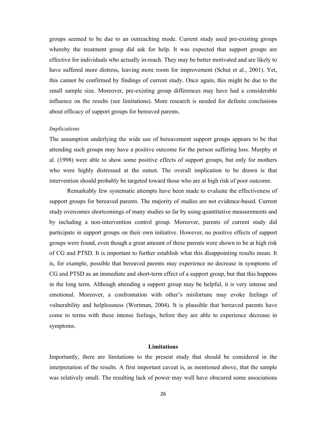groups seemed to be due to an outreaching mode. Current study used pre-existing groups whereby the treatment group did ask for help. It was expected that support groups are effective for individuals who actually in-reach. They may be better motivated and are likely to have suffered more distress, leaving more room for improvement (Schut et al., 2001). Yet, this cannot be confirmed by findings of current study. Once again, this might be due to the small sample size. Moreover, pre-existing group differences may have had a considerable influence on the results (see limitations). More research is needed for definite conclusions about efficacy of support groups for bereaved parents.

#### *Implications*

The assumption underlying the wide use of bereavement support groups appears to be that attending such groups may have a positive outcome for the person suffering loss. Murphy et al. (1998) were able to show some positive effects of support groups, but only for mothers who were highly distressed at the outset. The overall implication to be drawn is that intervention should probably be targeted toward those who are at high risk of poor outcome.

Remarkably few systematic attempts have been made to evaluate the effectiveness of support groups for bereaved parents. The majority of studies are not evidence-based*.* Current study overcomes shortcomings of many studies so far by using quantitative measurements and by including a non-intervention control group. Moreover, parents of current study did participate in support groups on their own initiative. However, no positive effects of support groups were found, even though a great amount of these parents were shown to be at high risk of CG and PTSD. It is important to further establish what this disappointing results mean. It is, for example, possible that bereaved parents may experience no decrease in symptoms of CG and PTSD as an immediate and short-term effect of a support group, but that this happens in the long term. Although attending a support group may be helpful, it is very intense and emotional. Moreover, a confrontation with other's misfortune may evoke feelings of vulnerability and helplessness (Wortman, 2004). It is plausible that bereaved parents have come to terms with these intense feelings, before they are able to experience decrease in symptoms.

#### **Limitations**

Importantly, there are limitations to the present study that should be considered in the interpretation of the results. A first important caveat is, as mentioned above, that the sample was relatively small. The resulting lack of power may well have obscured some associations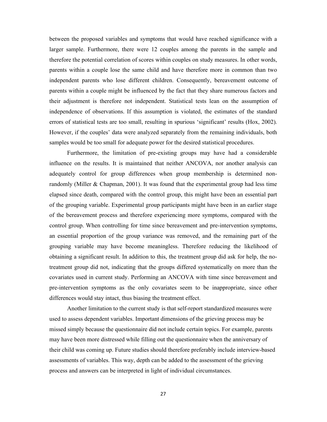between the proposed variables and symptoms that would have reached significance with a larger sample. Furthermore, there were 12 couples among the parents in the sample and therefore the potential correlation of scores within couples on study measures. In other words, parents within a couple lose the same child and have therefore more in common than two independent parents who lose different children. Consequently, bereavement outcome of parents within a couple might be influenced by the fact that they share numerous factors and their adjustment is therefore not independent. Statistical tests lean on the assumption of independence of observations. If this assumption is violated, the estimates of the standard errors of statistical tests are too small, resulting in spurious 'significant' results (Hox, 2002). However, if the couples' data were analyzed separately from the remaining individuals, both samples would be too small for adequate power for the desired statistical procedures.

Furthermore, the limitation of pre-existing groups may have had a considerable influence on the results. It is maintained that neither ANCOVA, nor another analysis can adequately control for group differences when group membership is determined nonrandomly (Miller & Chapman, 2001). It was found that the experimental group had less time elapsed since death, compared with the control group, this might have been an essential part of the grouping variable. Experimental group participants might have been in an earlier stage of the bereavement process and therefore experiencing more symptoms, compared with the control group. When controlling for time since bereavement and pre-intervention symptoms, an essential proportion of the group variance was removed, and the remaining part of the grouping variable may have become meaningless. Therefore reducing the likelihood of obtaining a significant result. In addition to this, the treatment group did ask for help, the notreatment group did not, indicating that the groups differed systematically on more than the covariates used in current study. Performing an ANCOVA with time since bereavement and pre-intervention symptoms as the only covariates seem to be inappropriate, since other differences would stay intact, thus biasing the treatment effect.

Another limitation to the current study is that self-report standardized measures were used to assess dependent variables. Important dimensions of the grieving process may be missed simply because the questionnaire did not include certain topics. For example, parents may have been more distressed while filling out the questionnaire when the anniversary of their child was coming up. Future studies should therefore preferably include interview-based assessments of variables. This way, depth can be added to the assessment of the grieving process and answers can be interpreted in light of individual circumstances.

27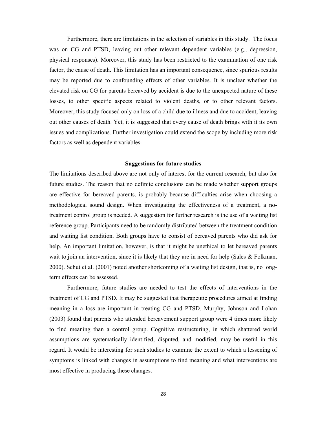Furthermore, there are limitations in the selection of variables in this study. The focus was on CG and PTSD, leaving out other relevant dependent variables (e.g., depression, physical responses). Moreover, this study has been restricted to the examination of one risk factor, the cause of death. This limitation has an important consequence, since spurious results may be reported due to confounding effects of other variables. It is unclear whether the elevated risk on CG for parents bereaved by accident is due to the unexpected nature of these losses, to other specific aspects related to violent deaths, or to other relevant factors. Moreover, this study focused only on loss of a child due to illness and due to accident, leaving out other causes of death. Yet, it is suggested that every cause of death brings with it its own issues and complications. Further investigation could extend the scope by including more risk factors as well as dependent variables.

#### **Suggestions for future studies**

The limitations described above are not only of interest for the current research, but also for future studies. The reason that no definite conclusions can be made whether support groups are effective for bereaved parents, is probably because difficulties arise when choosing a methodological sound design. When investigating the effectiveness of a treatment, a notreatment control group is needed. A suggestion for further research is the use of a waiting list reference group. Participants need to be randomly distributed between the treatment condition and waiting list condition. Both groups have to consist of bereaved parents who did ask for help. An important limitation, however, is that it might be unethical to let bereaved parents wait to join an intervention, since it is likely that they are in need for help (Sales & Folkman, 2000). Schut et al. (2001) noted another shortcoming of a waiting list design, that is, no longterm effects can be assessed.

Furthermore, future studies are needed to test the effects of interventions in the treatment of CG and PTSD. It may be suggested that therapeutic procedures aimed at finding meaning in a loss are important in treating CG and PTSD. Murphy, Johnson and Lohan (2003) found that parents who attended bereavement support group were 4 times more likely to find meaning than a control group. Cognitive restructuring, in which shattered world assumptions are systematically identified, disputed, and modified, may be useful in this regard. It would be interesting for such studies to examine the extent to which a lessening of symptoms is linked with changes in assumptions to find meaning and what interventions are most effective in producing these changes.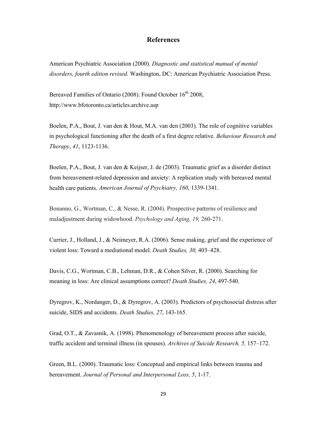### **References**

American Psychiatric Association (2000). *Diagnostic and statistical manual of mental disorders, fourth edition revised.* Washington, DC: American Psychiatric Association Press.

Bereaved Families of Ontario (2008). Found October 16<sup>th</sup> 2008, http://www.bfotoronto.ca/articles.archive.asp

Boelen, P.A., Bout, J. van den & Hout, M.A. van den (2003). The role of cognitive variables in psychological functioning after the death of a first degree relative. *Behaviour Research and Therapy*, *41*, 1123-1136.

Boelen, P.A., Bout, J. van den & Keijser, J. de (2003). Traumatic grief as a disorder distinct from bereavement-related depression and anxiety: A replication study with bereaved mental health care patients. *American Journal of Psychiatry, 160*, 1339-1341.

Bonanno, G., Wortman, C., & Nesse, R. (2004). Prospective patterns of resilience and maladjustment during widowhood. *Psychology and Aging, 19,* 260-271.

Currier, J., Holland, J., & Neimeyer, R.A. (2006). Sense making, grief and the experience of violent loss: Toward a mediational model. *Death Studies, 30,* 403–428.

Davis, C.G., Wortman, C.B., Lehman, D.R., & Cohen Silver, R. (2000). Searching for meaning in loss: Are clinical assumptions correct? *Death Studies, 24*, 497-540.

Dyregrov, K., Nordanger, D., & Dyregrov, A. (2003). Predictors of psychosocial distress after suicide, SIDS and accidents. *Death Studies, 27*, 143-165.

Grad, O.T., & Zavasnik, A. (1998). Phenomenology of bereavement process after suicide, traffic accident and terminal illness (in spouses). *Archives of Suicide Research, 5,* 157–172.

Green, B.L. (2000). Traumatic loss: Conceptual and empirical links between trauma and bereavement. *Journal of Personal and Interpersonal Loss, 5*, 1-17.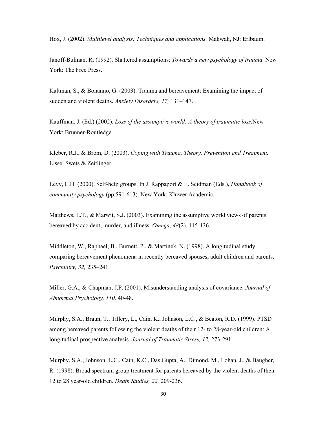Hox, J. (2002). *Multilevel analysis: Techniques and applications.* Mahwah, NJ: Erlbaum.

Janoff-Bulman, R. (1992). Shattered assumptions: *Towards a new psychology of trauma*. New York: The Free Press.

Kaltman, S., & Bonanno, G. (2003). Trauma and bereavement: Examining the impact of sudden and violent deaths. *Anxiety Disorders, 17,* 131–147.

Kauffman, J. (Ed.) (2002). *Loss of the assumptive world: A theory of traumatic loss.*New York: Brunner-Routledge.

Kleber, R.J., & Brom, D. (2003). *Coping with Trauma. Theory, Prevention and Treatment.* Lisse: Swets & Zeitlinger.

Levy, L.H. (2000). Self-help groups. In J. Rappaport & E. Seidman (Eds.), *Handbook of community psychology* (pp.591-613). New York: Kluwer Academic.

Matthews, L.T., & Marwit, S.J. (2003). Examining the assumptive world views of parents bereaved by accident, murder, and illness. *Omega*, *48*(2), 115-136.

Middleton, W., Raphael, B., Burnett, P., & Martinek, N. (1998). A longitudinal study comparing bereavement phenomena in recently bereaved spouses, adult children and parents. *Psychiatry, 32,* 235–241.

Miller, G.A., & Chapman, J.P. (2001). Misunderstanding analysis of covariance. *Journal of Abnormal Psychology, 110,* 40-48.

Murphy, S.A., Braun, T., Tillery, L., Cain, K., Johnson, L.C., & Beaton, R.D. (1999). PTSD among bereaved parents following the violent deaths of their 12- to 28-year-old children: A longitudinal prospective analysis. *Journal of Traumatic Stress, 12,* 273-291.

Murphy, S.A., Johnson, L.C., Cain, K.C., Das Gupta, A., Dimond, M., Lohan, J., & Baugher, R. (1998). Broad spectrum group treatment for parents bereaved by the violent deaths of their 12 to 28 year-old children. *Death Studies, 22,* 209-236.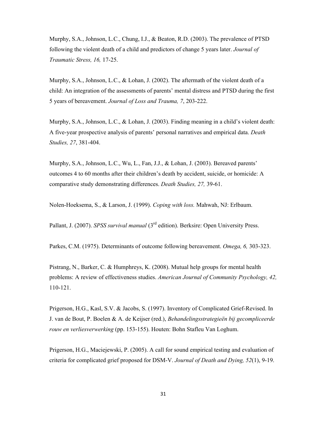Murphy, S.A., Johnson, L.C., Chung, I.J., & Beaton, R.D. (2003). The prevalence of PTSD following the violent death of a child and predictors of change 5 years later. *Journal of Traumatic Stress, 16,* 17-25.

Murphy, S.A., Johnson, L.C., & Lohan, J. (2002). The aftermath of the violent death of a child: An integration of the assessments of parents' mental distress and PTSD during the first 5 years of bereavement. *Journal of Loss and Trauma, 7*, 203-222.

Murphy, S.A., Johnson, L.C., & Lohan, J. (2003). Finding meaning in a child's violent death: A five-year prospective analysis of parents' personal narratives and empirical data. *Death Studies, 27*, 381-404.

Murphy, S.A., Johnson, L.C., Wu, L., Fan, J.J., & Lohan, J. (2003). Bereaved parents' outcomes 4 to 60 months after their children's death by accident, suicide, or homicide: A comparative study demonstrating differences. *Death Studies, 27,* 39-61.

Nolen-Hoeksema, S., & Larson, J. (1999). *Coping with loss.* Mahwah, NJ: Erlbaum.

Pallant, J. (2007). *SPSS survival manual* (3<sup>rd</sup> edition). Berksire: Open University Press.

Parkes, C.M. (1975). Determinants of outcome following bereavement. *Omega, 6,* 303-323.

Pistrang, N., Barker, C. & Humphreys, K. (2008). Mutual help groups for mental health problems: A review of effectiveness studies. *American Journal of Community Psychology, 42,* 110-121.

Prigerson, H.G., Kasl, S.V. & Jacobs, S. (1997). Inventory of Complicated Grief-Revised. In J. van de Bout, P. Boelen & A. de Keijser (red.), *Behandelingsstrategieën bij gecompliceerde rouw en verliesverwerking* (pp. 153-155). Houten: Bohn Stafleu Van Loghum.

Prigerson, H.G., Maciejewski, P. (2005). A call for sound empirical testing and evaluation of criteria for complicated grief proposed for DSM-V. *Journal of Death and Dying, 52*(1), 9-19.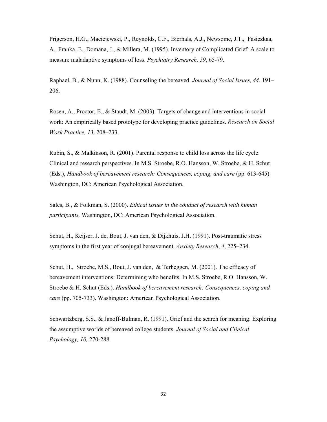Prigerson, H.G., Maciejewski, P., Reynolds, C.F., Bierhals, A.J., Newsomc, J.T., Fasiczkaa, A., Franka, E., Domana, J., & Millera, M. (1995). Inventory of Complicated Grief: A scale to measure maladaptive symptoms of loss. *Psychiatry Research, 59*, 65-79.

Raphael, B., & Nunn, K. (1988). Counseling the bereaved. *Journal of Social Issues, 44*, 191– 206.

Rosen, A., Proctor, E., & Staudt, M. (2003). Targets of change and interventions in social work: An empirically based prototype for developing practice guidelines. *Research on Social Work Practice, 13,* 208–233.

Rubin, S., & Malkinson, R. (2001). Parental response to child loss across the life cycle: Clinical and research perspectives. In M.S. Stroebe, R.O. Hansson, W. Stroebe, & H. Schut (Eds.), *Handbook of bereavement research: Consequences, coping, and care* (pp. 613-645). Washington, DC: American Psychological Association.

Sales, B., & Folkman, S. (2000). *Ethical issues in the conduct of research with human participants.* Washington, DC: American Psychological Association.

Schut, H., Keijser, J. de, Bout, J. van den, & Dijkhuis, J.H. (1991). Post-traumatic stress symptoms in the first year of conjugal bereavement. *Anxiety Research*, *4*, 225–234.

Schut, H., Stroebe, M.S., Bout, J. van den, & Terheggen, M. (2001). The efficacy of bereavement interventions: Determining who benefits. In M.S. Stroebe, R.O. Hansson, W. Stroebe & H. Schut (Eds.). *Handbook of bereavement research: Consequences, coping and care* (pp. 705-733). Washington: American Psychological Association.

Schwartzberg, S.S., & Janoff-Bulman, R. (1991). Grief and the search for meaning: Exploring the assumptive worlds of bereaved college students. *Journal of Social and Clinical Psychology, 10,* 270-288.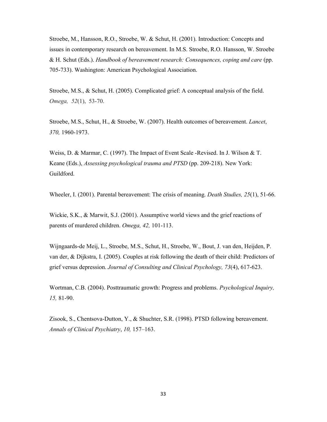Stroebe, M., Hansson, R.O., Stroebe, W. & Schut, H. (2001). Introduction: Concepts and issues in contemporary research on bereavement. In M.S. Stroebe, R.O. Hansson, W. Stroebe & H. Schut (Eds.). *Handbook of bereavement research: Consequences, coping and care* (pp. 705-733). Washington: American Psychological Association.

Stroebe, M.S., & Schut, H. (2005). Complicated grief: A conceptual analysis of the field. *Omega, 52*(1), 53-70.

Stroebe, M.S., Schut, H., & Stroebe, W. (2007). Health outcomes of bereavement. *Lancet*, *370,* 1960-1973.

Weiss, D. & Marmar, C. (1997). The Impact of Event Scale -Revised. In J. Wilson & T. Keane (Eds.), *Assessing psychological trauma and PTSD* (pp. 209-218). New York: Guildford.

Wheeler, I. (2001). Parental bereavement: The crisis of meaning. *Death Studies, 25*(1), 51-66.

Wickie, S.K., & Marwit, S.J. (2001). Assumptive world views and the grief reactions of parents of murdered children. *Omega, 42,* 101-113.

Wijngaards-de Meij, L., Stroebe, M.S., Schut, H., Stroebe, W., Bout, J. van den, Heijden, P. van der, & Dijkstra, I. (2005). Couples at risk following the death of their child: Predictors of grief versus depression. *Journal of Consulting and Clinical Psychology, 73*(4), 617-623.

Wortman, C.B. (2004). Posttraumatic growth: Progress and problems. *Psychological Inquiry, 15,* 81-90.

Zisook, S., Chentsova-Dutton, Y., & Shuchter, S.R. (1998). PTSD following bereavement. *Annals of Clinical Psychiatry*, *10,* 157–163.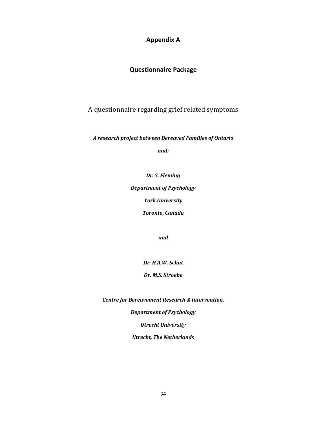## **Appendix A**

## **Questionnaire Package**

A questionnaire regarding grief related symptoms

*A research project between Bereaved Families of Ontario*

*and:*

*Dr. S. Fleming Department of Psychology York University*

*Toronto, Canada*

*and*

*Dr. H.A.W. Schut*

*Dr. M.S. Stroebe*

*Centre for Bereavement Research & Intervention,*

*Department of Psychology Utrecht University*

*Utrecht, The Netherlands*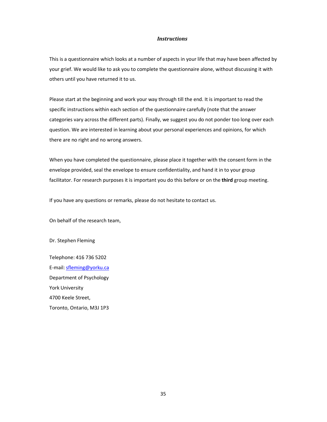#### *Instructions*

This is a questionnaire which looks at a number of aspects in your life that may have been affected by your grief. We would like to ask you to complete the questionnaire alone, without discussing it with others until you have returned it to us.

Please start at the beginning and work your way through till the end. It is important to read the specific instructions within each section of the questionnaire carefully (note that the answer categories vary across the different parts). Finally, we suggest you do not ponder too long over each question. We are interested in learning about your personal experiences and opinions, for which there are no right and no wrong answers.

When you have completed the questionnaire, please place it together with the consent form in the envelope provided, seal the envelope to ensure confidentiality, and hand it in to your group facilitator. For research purposes it is important you do this before or on the **third** group meeting.

If you have any questions or remarks, please do not hesitate to contact us.

On behalf of the research team,

Dr. Stephen Fleming

Telephone: 416 736 5202 E-mail: sfleming@yorku.ca Department of Psychology York University 4700 Keele Street, Toronto, Ontario, M3J 1P3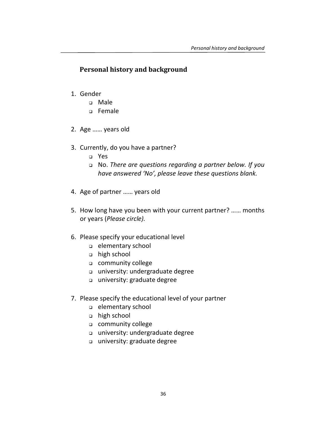## **Personal history and background**

- 1. Gender
	- Male
	- Female
- 2. Age …… years old
- 3. Currently, do you have a partner?
	- Yes
	- No. *There are questions regarding a partner below. If you have answered 'No', please leave these questions blank.*
- 4. Age of partner …… years old
- 5. How long have you been with your current partner? …… months or years (*Please circle).*
- 6. Please specify your educational level
	- elementary school
	- high school
	- community college
	- university: undergraduate degree
	- university: graduate degree
- 7. Please specify the educational level of your partner
	- elementary school
	- high school
	- community college
	- university: undergraduate degree
	- university: graduate degree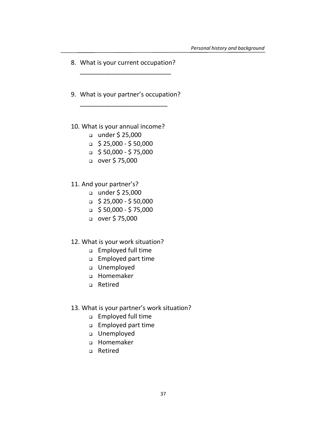- 8. What is your current occupation? \_\_\_\_\_\_\_\_\_\_\_\_\_\_\_\_\_\_\_\_\_\_\_\_\_\_
- 9. What is your partner's occupation? \_\_\_\_\_\_\_\_\_\_\_\_\_\_\_\_\_\_\_\_\_\_\_\_\_
- 10. What is your annual income?
	- $\Box$  under \$ 25,000
	- $\sqrt{2}$  \$ 25,000 \$ 50,000
	- $\Box$  \$ 50,000 \$ 75,000
	- $\Box$  over \$75,000
- 11. And your partner's?
	- $\Box$  under \$ 25,000
	- $\sqrt{2}$  \$ 25,000 \$ 50,000
	- $\Box$  \$ 50,000 \$ 75,000
	- □ over \$75,000
- 12. What is your work situation?
	- Employed full time
	- Employed part time
	- Unemployed
	- Homemaker
	- Retired

## 13. What is your partner's work situation?

- Employed full time
- Employed part time
- Unemployed
- Homemaker
- Retired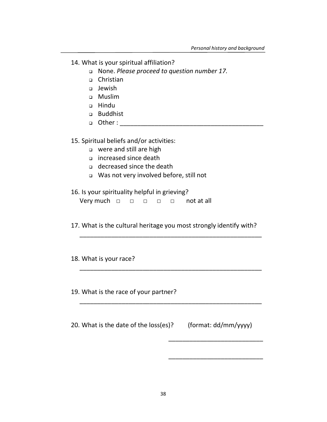- 14. What is your spiritual affiliation?
	- None. *Please proceed to question number 17.*
	- □ Christian
	- Jewish
	- Muslim
	- Hindu
	- Buddhist
	- $\Box$  Other :

## 15. Spiritual beliefs and/or activities:

- were and still are high
- increased since death
- decreased since the death
- Was not very involved before, still not

## 16. Is your spirituality helpful in grieving?

| Very much $\Box$ $\Box$ $\Box$ $\Box$ not at all |  |  |  |  |  |
|--------------------------------------------------|--|--|--|--|--|
|--------------------------------------------------|--|--|--|--|--|

17. What is the cultural heritage you most strongly identify with?

\_\_\_\_\_\_\_\_\_\_\_\_\_\_\_\_\_\_\_\_\_\_\_\_\_\_\_\_\_\_\_\_\_\_\_\_\_\_\_\_\_\_\_\_\_\_\_\_\_\_\_\_

\_\_\_\_\_\_\_\_\_\_\_\_\_\_\_\_\_\_\_\_\_\_\_\_\_\_\_\_\_\_\_\_\_\_\_\_\_\_\_\_\_\_\_\_\_\_\_\_\_\_\_\_

\_\_\_\_\_\_\_\_\_\_\_\_\_\_\_\_\_\_\_\_\_\_\_\_\_\_\_\_\_\_\_\_\_\_\_\_\_\_\_\_\_\_\_\_\_\_\_\_\_\_\_\_

\_\_\_\_\_\_\_\_\_\_\_\_\_\_\_\_\_\_\_\_\_\_\_\_\_\_\_

\_\_\_\_\_\_\_\_\_\_\_\_\_\_\_\_\_\_\_\_\_\_\_\_\_\_\_

## 18. What is your race?

19. What is the race of your partner?

20. What is the date of the loss(es)? (format: dd/mm/yyyy)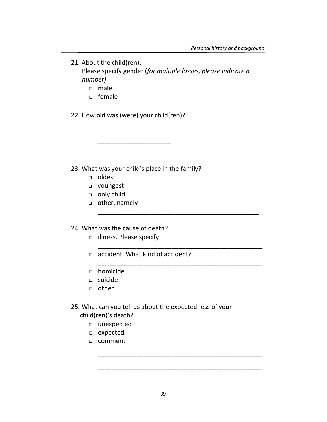21. About the child(ren): Please specify gender (*for multiple losses, please indicate a number)*

\_\_\_\_\_\_\_\_\_\_\_\_\_\_\_\_\_\_\_\_\_\_\_\_\_\_\_\_\_\_\_\_\_\_\_\_\_\_\_\_\_\_\_\_\_\_

\_\_\_\_\_\_\_\_\_\_\_\_\_\_\_\_\_\_\_\_\_\_\_\_\_\_\_\_\_\_\_\_\_\_\_\_\_\_\_\_\_\_\_\_\_\_\_

\_\_\_\_\_\_\_\_\_\_\_\_\_\_\_\_\_\_\_\_\_\_\_\_\_\_\_\_\_\_\_\_\_\_\_\_\_\_\_\_\_\_\_\_\_\_\_

\_\_\_\_\_\_\_\_\_\_\_\_\_\_\_\_\_\_\_\_\_\_\_\_\_\_\_\_\_\_\_\_\_\_\_\_\_\_\_\_\_\_\_\_\_\_\_

\_\_\_\_\_\_\_\_\_\_\_\_\_\_\_\_\_\_\_\_\_\_\_\_\_\_\_\_\_\_\_\_\_\_\_\_\_\_\_\_\_\_\_\_\_\_\_

- male
- female

22. How old was (were) your child(ren)?

\_\_\_\_\_\_\_\_\_\_\_\_\_\_\_\_\_\_\_\_\_

\_\_\_\_\_\_\_\_\_\_\_\_\_\_\_\_\_\_\_\_\_

23. What was your child's place in the family?

- oldest
- youngest
- only child
- other, namely

## 24. What was the cause of death?

- illness. Please specify
- accident. What kind of accident?
- homicide
- suicide
- other

## 25. What can you tell us about the expectedness of your

child(ren)'s death?

- unexpected
- expected
- comment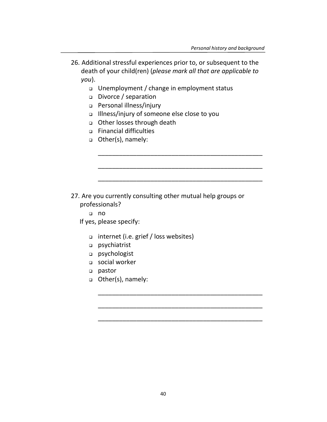26. Additional stressful experiences prior to, or subsequent to the death of your child(ren) (*please mark all that are applicable to you*).

\_\_\_\_\_\_\_\_\_\_\_\_\_\_\_\_\_\_\_\_\_\_\_\_\_\_\_\_\_\_\_\_\_\_\_\_\_\_\_\_\_\_\_\_\_\_\_

\_\_\_\_\_\_\_\_\_\_\_\_\_\_\_\_\_\_\_\_\_\_\_\_\_\_\_\_\_\_\_\_\_\_\_\_\_\_\_\_\_\_\_\_\_\_\_

\_\_\_\_\_\_\_\_\_\_\_\_\_\_\_\_\_\_\_\_\_\_\_\_\_\_\_\_\_\_\_\_\_\_\_\_\_\_\_\_\_\_\_\_\_\_\_

\_\_\_\_\_\_\_\_\_\_\_\_\_\_\_\_\_\_\_\_\_\_\_\_\_\_\_\_\_\_\_\_\_\_\_\_\_\_\_\_\_\_\_\_\_\_\_

\_\_\_\_\_\_\_\_\_\_\_\_\_\_\_\_\_\_\_\_\_\_\_\_\_\_\_\_\_\_\_\_\_\_\_\_\_\_\_\_\_\_\_\_\_\_\_

\_\_\_\_\_\_\_\_\_\_\_\_\_\_\_\_\_\_\_\_\_\_\_\_\_\_\_\_\_\_\_\_\_\_\_\_\_\_\_\_\_\_\_\_\_\_\_

- Unemployment / change in employment status
- Divorce / separation
- Personal illness/injury
- Illness/injury of someone else close to you
- Other losses through death
- Financial difficulties
- □ Other(s), namely:

- 27. Are you currently consulting other mutual help groups or professionals?
	- no

If yes, please specify:

- internet (i.e. grief / loss websites)
- psychiatrist
- psychologist
- social worker
- pastor
- Other(s), namely: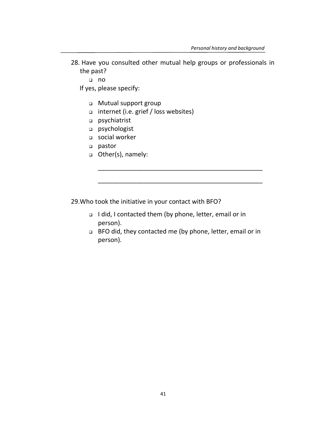28. Have you consulted other mutual help groups or professionals in the past?

no

If yes, please specify:

- Mutual support group
- internet (i.e. grief / loss websites)
- psychiatrist
- psychologist
- social worker
- pastor
- Other(s), namely:

29.Who took the initiative in your contact with BFO?

- I did, I contacted them (by phone, letter, email or in person).
- BFO did, they contacted me (by phone, letter, email or in person).

\_\_\_\_\_\_\_\_\_\_\_\_\_\_\_\_\_\_\_\_\_\_\_\_\_\_\_\_\_\_\_\_\_\_\_\_\_\_\_\_\_\_\_\_\_\_\_

\_\_\_\_\_\_\_\_\_\_\_\_\_\_\_\_\_\_\_\_\_\_\_\_\_\_\_\_\_\_\_\_\_\_\_\_\_\_\_\_\_\_\_\_\_\_\_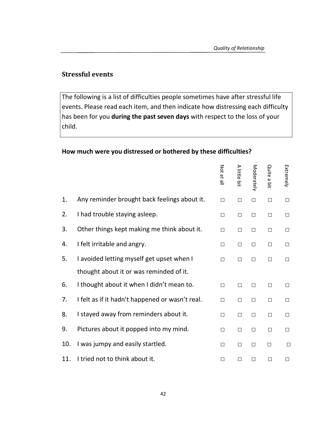## **Stressful events**

The following is a list of difficulties people sometimes have after stressful life events. Please read each item, and then indicate how distressing each difficulty has been for you **during the past seven days** with respect to the loss of your child.

## **How much were you distressed or bothered by these difficulties?**

|     |                                                 | Not at all | A little bit | Moderately | Quite a bit | Extremely |
|-----|-------------------------------------------------|------------|--------------|------------|-------------|-----------|
| 1.  | Any reminder brought back feelings about it.    | $\Box$     | $\Box$       | $\Box$     | $\Box$      | $\Box$    |
| 2.  | I had trouble staying asleep.                   | $\Box$     | $\Box$       | $\Box$     | $\Box$      | $\Box$    |
| 3.  | Other things kept making me think about it.     | П          | $\Box$       | $\Box$     | $\Box$      | $\Box$    |
| 4.  | I felt irritable and angry.                     | $\Box$     | $\Box$       | $\Box$     | $\Box$      | $\Box$    |
| 5.  | I avoided letting myself get upset when I       | $\Box$     | П            | П          | $\Box$      | $\Box$    |
|     | thought about it or was reminded of it.         |            |              |            |             |           |
| 6.  | I thought about it when I didn't mean to.       | $\Box$     | $\Box$       | $\Box$     | $\Box$      | $\Box$    |
| 7.  | I felt as if it hadn't happened or wasn't real. | П          | $\Box$       | $\Box$     | $\Box$      | $\Box$    |
| 8.  | I stayed away from reminders about it.          | П          | $\Box$       | $\Box$     | $\Box$      | $\Box$    |
| 9.  | Pictures about it popped into my mind.          | $\Box$     | $\Box$       | $\Box$     | $\Box$      | $\Box$    |
| 10. | I was jumpy and easily startled.                | $\Box$     | $\Box$       | $\Box$     | $\Box$      | $\Box$    |
| 11. | I tried not to think about it.                  | $\Box$     | П            | $\Box$     | $\Box$      | $\Box$    |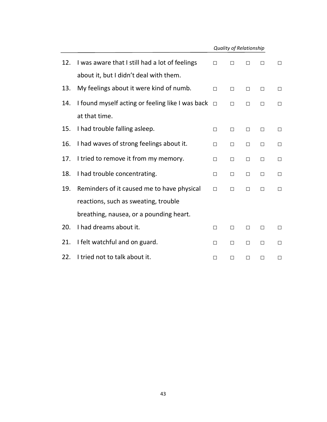|     | <b>Quality of Relationship</b>                   |        |        |        |        |        |
|-----|--------------------------------------------------|--------|--------|--------|--------|--------|
| 12. | I was aware that I still had a lot of feelings   | $\Box$ | $\Box$ | □      | $\Box$ | $\Box$ |
|     | about it, but I didn't deal with them.           |        |        |        |        |        |
| 13. | My feelings about it were kind of numb.          | $\Box$ | $\Box$ | □      | $\Box$ | $\Box$ |
| 14. | I found myself acting or feeling like I was back | $\Box$ | $\Box$ | $\Box$ | $\Box$ | $\Box$ |
|     | at that time.                                    |        |        |        |        |        |
| 15. | I had trouble falling asleep.                    | $\Box$ | $\Box$ | $\Box$ | $\Box$ | $\Box$ |
| 16. | I had waves of strong feelings about it.         | $\Box$ | $\Box$ | $\Box$ | $\Box$ | $\Box$ |
| 17. | I tried to remove it from my memory.             | $\Box$ | $\Box$ | $\Box$ | $\Box$ | $\Box$ |
| 18. | I had trouble concentrating.                     | $\Box$ | $\Box$ | $\Box$ | $\Box$ | □      |
| 19. | Reminders of it caused me to have physical       | $\Box$ | П      | П      | $\Box$ | $\Box$ |
|     | reactions, such as sweating, trouble             |        |        |        |        |        |
|     | breathing, nausea, or a pounding heart.          |        |        |        |        |        |
| 20. | I had dreams about it.                           | $\Box$ | $\Box$ | $\Box$ | $\Box$ | $\Box$ |
| 21. | I felt watchful and on guard.                    | $\Box$ | $\Box$ | $\Box$ | $\Box$ | $\Box$ |
| 22. | I tried not to talk about it.                    | П      | П      | П      | П      | $\Box$ |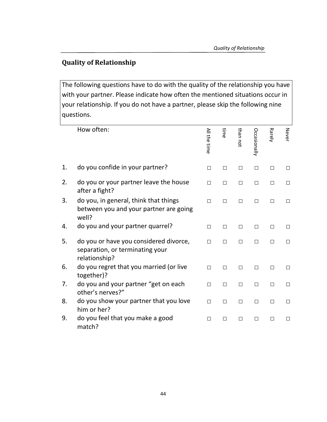## **Quality of Relationship**

The following questions have to do with the quality of the relationship you have with your partner. Please indicate how often the mentioned situations occur in your relationship. If you do not have a partner, please skip the following nine questions.

|    | How often:                                                                                 | All the time | ime<br>S | than not | <b>Occasionally</b> | <b>Rarely</b> | Never  |
|----|--------------------------------------------------------------------------------------------|--------------|----------|----------|---------------------|---------------|--------|
| 1. | do you confide in your partner?                                                            | $\Box$       | □        | $\Box$   | □                   | П             | $\Box$ |
| 2. | do you or your partner leave the house<br>after a fight?                                   | $\Box$       | □        | □        | □                   | □             | $\Box$ |
| 3. | do you, in general, think that things<br>between you and your partner are going<br>well?   | $\Box$       | П        | П        | П                   | $\Box$        | $\Box$ |
| 4. | do you and your partner quarrel?                                                           | $\Box$       | $\Box$   | $\Box$   | $\Box$              | □             | $\Box$ |
| 5. | do you or have you considered divorce,<br>separation, or terminating your<br>relationship? | $\Box$       | П        | □        | $\Box$              | $\Box$        | $\Box$ |
| 6. | do you regret that you married (or live<br>together)?                                      | $\Box$       | П        | $\Box$   | П                   | П             | $\Box$ |
| 7. | do you and your partner "get on each<br>other's nerves?"                                   | $\Box$       | $\Box$   | $\Box$   | П                   | □             | $\Box$ |
| 8. | do you show your partner that you love<br>him or her?                                      | $\Box$       | П        | □        | П                   | $\Box$        | $\Box$ |
| 9. | do you feel that you make a good<br>match?                                                 | $\Box$       | П        | $\Box$   | П                   | П             | $\Box$ |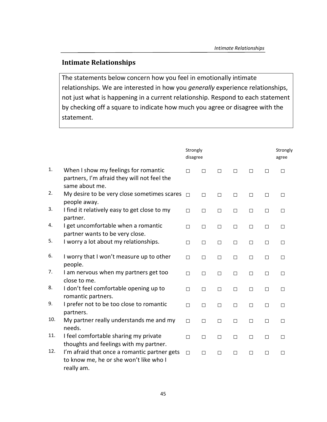## **Intimate Relationships**

The statements below concern how you feel in emotionally intimate relationships. We are interested in how you *generally* experience relationships, not just what is happening in a current relationship. Respond to each statement by checking off a square to indicate how much you agree or disagree with the statement.

|     |                                                                                                       | Strongly<br>disagree |        |        |        |        |        | Strongly<br>agree |
|-----|-------------------------------------------------------------------------------------------------------|----------------------|--------|--------|--------|--------|--------|-------------------|
| 1.  | When I show my feelings for romantic<br>partners, I'm afraid they will not feel the<br>same about me. | $\Box$               | $\Box$ | $\Box$ | $\Box$ | $\Box$ | $\Box$ | $\Box$            |
| 2.  | My desire to be very close sometimes scares<br>people away.                                           | $\Box$               | $\Box$ | $\Box$ | $\Box$ | $\Box$ | $\Box$ | $\Box$            |
| 3.  | I find it relatively easy to get close to my<br>partner.                                              | $\Box$               | $\Box$ | $\Box$ | $\Box$ | $\Box$ | $\Box$ | $\Box$            |
| 4.  | I get uncomfortable when a romantic<br>partner wants to be very close.                                | $\Box$               | $\Box$ | $\Box$ | $\Box$ | $\Box$ | $\Box$ | $\Box$            |
| 5.  | I worry a lot about my relationships.                                                                 | $\Box$               | $\Box$ | $\Box$ | $\Box$ | $\Box$ | $\Box$ | $\Box$            |
| 6.  | I worry that I won't measure up to other<br>people.                                                   | $\Box$               | $\Box$ | $\Box$ | $\Box$ | $\Box$ | $\Box$ | $\Box$            |
| 7.  | I am nervous when my partners get too<br>close to me.                                                 | $\Box$               | $\Box$ | $\Box$ | $\Box$ | $\Box$ | $\Box$ | $\Box$            |
| 8.  | I don't feel comfortable opening up to<br>romantic partners.                                          | $\Box$               | $\Box$ | $\Box$ | $\Box$ | $\Box$ | $\Box$ | $\Box$            |
| 9.  | I prefer not to be too close to romantic<br>partners.                                                 | $\Box$               | $\Box$ | $\Box$ | $\Box$ | $\Box$ | $\Box$ | $\Box$            |
| 10. | My partner really understands me and my<br>needs.                                                     | $\Box$               | $\Box$ | $\Box$ | $\Box$ | $\Box$ | $\Box$ | $\Box$            |
| 11. | I feel comfortable sharing my private<br>thoughts and feelings with my partner.                       | $\Box$               | $\Box$ | $\Box$ | $\Box$ | $\Box$ | $\Box$ | $\Box$            |
| 12. | I'm afraid that once a romantic partner gets<br>to know me, he or she won't like who I<br>really am.  | $\Box$               | $\Box$ | $\Box$ | $\Box$ | $\Box$ | $\Box$ | $\Box$            |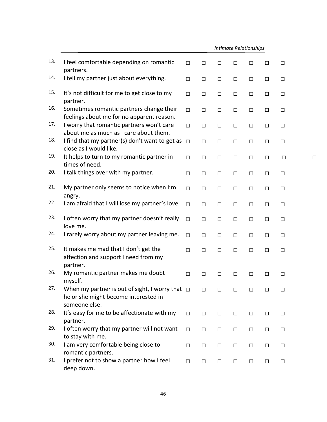|     |                                                                                                               | <b>Intimate Relationships</b> |        |        |        |        |        |        |        |
|-----|---------------------------------------------------------------------------------------------------------------|-------------------------------|--------|--------|--------|--------|--------|--------|--------|
| 13. | I feel comfortable depending on romantic<br>partners.                                                         | $\Box$                        | $\Box$ | $\Box$ | $\Box$ | $\Box$ | $\Box$ | $\Box$ |        |
| 14. | I tell my partner just about everything.                                                                      | $\Box$                        | $\Box$ | $\Box$ | $\Box$ | $\Box$ | $\Box$ | $\Box$ |        |
| 15. | It's not difficult for me to get close to my<br>partner.                                                      | $\Box$                        | $\Box$ | $\Box$ | $\Box$ | $\Box$ | $\Box$ | $\Box$ |        |
| 16. | Sometimes romantic partners change their<br>feelings about me for no apparent reason.                         | $\Box$                        | $\Box$ | $\Box$ | $\Box$ | $\Box$ | $\Box$ | $\Box$ |        |
| 17. | I worry that romantic partners won't care<br>about me as much as I care about them.                           | $\Box$                        | $\Box$ | $\Box$ | $\Box$ | $\Box$ | $\Box$ | $\Box$ |        |
| 18. | I find that my partner(s) don't want to get as<br>close as I would like.                                      | $\Box$                        | $\Box$ | $\Box$ | $\Box$ | $\Box$ | $\Box$ | $\Box$ |        |
| 19. | It helps to turn to my romantic partner in<br>times of need.                                                  | $\Box$                        | $\Box$ | $\Box$ | $\Box$ | $\Box$ | $\Box$ | $\Box$ | $\Box$ |
| 20. | I talk things over with my partner.                                                                           | $\Box$                        | $\Box$ | $\Box$ | $\Box$ | $\Box$ | $\Box$ | $\Box$ |        |
| 21. | My partner only seems to notice when I'm<br>angry.                                                            | $\Box$                        | $\Box$ | $\Box$ | $\Box$ | $\Box$ | $\Box$ | $\Box$ |        |
| 22. | I am afraid that I will lose my partner's love.                                                               | $\Box$                        | $\Box$ | $\Box$ | $\Box$ | $\Box$ | $\Box$ | $\Box$ |        |
| 23. | I often worry that my partner doesn't really<br>love me.                                                      | $\Box$                        | $\Box$ | $\Box$ | $\Box$ | $\Box$ | $\Box$ | $\Box$ |        |
| 24. | I rarely worry about my partner leaving me.                                                                   | $\Box$                        | $\Box$ | $\Box$ | $\Box$ | $\Box$ | $\Box$ | $\Box$ |        |
| 25. | It makes me mad that I don't get the<br>affection and support I need from my<br>partner.                      | $\Box$                        | $\Box$ | $\Box$ | $\Box$ | $\Box$ | $\Box$ | $\Box$ |        |
| 26. | My romantic partner makes me doubt<br>myself.                                                                 | $\Box$                        | $\Box$ | $\Box$ | $\Box$ | $\Box$ | $\Box$ | $\Box$ |        |
| 27. | When my partner is out of sight, I worry that $\Box$<br>he or she might become interested in<br>someone else. |                               | $\Box$ | $\Box$ | $\Box$ | $\Box$ | □      | $\Box$ |        |
| 28. | It's easy for me to be affectionate with my<br>partner.                                                       | $\Box$                        | $\Box$ | $\Box$ | $\Box$ | $\Box$ | $\Box$ | □      |        |
| 29. | I often worry that my partner will not want<br>to stay with me.                                               | $\Box$                        | $\Box$ | $\Box$ | $\Box$ | $\Box$ | $\Box$ | □      |        |
| 30. | I am very comfortable being close to<br>romantic partners.                                                    | $\Box$                        | $\Box$ | $\Box$ | $\Box$ | $\Box$ | $\Box$ | $\Box$ |        |
| 31. | I prefer not to show a partner how I feel<br>deep down.                                                       | $\Box$                        | $\Box$ | $\Box$ | $\Box$ | $\Box$ | $\Box$ | $\Box$ |        |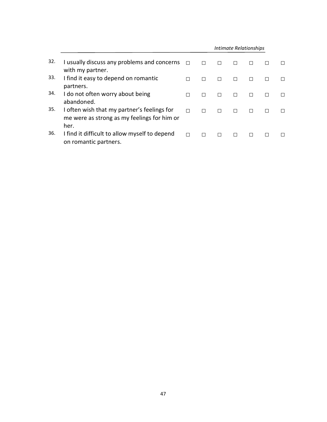|     |                                                                                            | Intimate Relationships |   |   |  |  |  |  |  |  |
|-----|--------------------------------------------------------------------------------------------|------------------------|---|---|--|--|--|--|--|--|
| 32. | I usually discuss any problems and concerns<br>with my partner.                            | $\Box$                 | П |   |  |  |  |  |  |  |
| 33. | I find it easy to depend on romantic<br>partners.                                          | П                      | П | П |  |  |  |  |  |  |
| 34. | I do not often worry about being<br>abandoned.                                             | П                      | П | П |  |  |  |  |  |  |
| 35. | I often wish that my partner's feelings for<br>me were as strong as my feelings for him or | П                      | П | П |  |  |  |  |  |  |
| 36. | her.<br>I find it difficult to allow myself to depend<br>on romantic partners.             | П                      |   |   |  |  |  |  |  |  |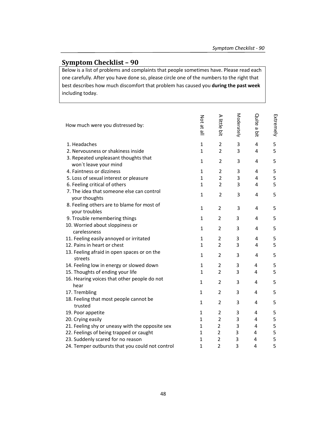## **Symptom Checklist – 90**

Below is a list of problems and complaints that people sometimes have. Please read each one carefully. After you have done so, please circle one of the numbers to the right that best describes how much discomfort that problem has caused you **during the past week** including today.

| How much were you distressed by:                              | Not at all   | A little I<br>bit | Moderately     | Quite<br>$\tilde{\omega}$<br>ä | Extremely |
|---------------------------------------------------------------|--------------|-------------------|----------------|--------------------------------|-----------|
| 1. Headaches                                                  | $\mathbf{1}$ | $\overline{2}$    | 3              | 4                              | 5         |
| 2. Nervousness or shakiness inside                            | $\mathbf{1}$ | $\overline{2}$    | 3              | 4                              | 5         |
| 3. Repeated unpleasant thoughts that<br>won't leave your mind | $\mathbf{1}$ | $\overline{2}$    | 3              | 4                              | 5         |
| 4. Faintness or dizziness                                     | $\mathbf{1}$ | $\overline{2}$    | 3              | 4                              | 5         |
| 5. Loss of sexual interest or pleasure                        | $\mathbf{1}$ | $\overline{2}$    | 3              | 4                              | 5         |
| 6. Feeling critical of others                                 | $\mathbf{1}$ | $\overline{2}$    | 3              | 4                              | 5         |
| 7. The idea that someone else can control<br>your thoughts    | $\mathbf{1}$ | $\overline{2}$    | 3              | 4                              | 5         |
| 8. Feeling others are to blame for most of<br>your troubles   | $\mathbf{1}$ | $\overline{2}$    | 3              | 4                              | 5         |
| 9. Trouble remembering things                                 | $\mathbf{1}$ | $\overline{2}$    | 3              | 4                              | 5         |
| 10. Worried about sloppiness or<br>carelessness               | $\mathbf{1}$ | $\overline{2}$    | 3              | 4                              | 5         |
| 11. Feeling easily annoyed or irritated                       | $\mathbf{1}$ | 2                 | 3              | 4                              | 5         |
| 12. Pains in heart or chest                                   | $\mathbf{1}$ | $\overline{2}$    | 3              | 4                              | 5         |
| 13. Feeling afraid in open spaces or on the<br>streets        | $\mathbf{1}$ | $\overline{2}$    | 3              | 4                              | 5         |
| 14. Feeling low in energy or slowed down                      | $\mathbf{1}$ | $\overline{2}$    | 3              | 4                              | 5         |
| 15. Thoughts of ending your life                              | $\mathbf{1}$ | $\overline{2}$    | 3              | 4                              | 5         |
| 16. Hearing voices that other people do not<br>hear           | $\mathbf{1}$ | $\overline{2}$    | 3              | 4                              | 5         |
| 17. Trembling                                                 | $\mathbf{1}$ | $\overline{2}$    | 3              | 4                              | 5         |
| 18. Feeling that most people cannot be<br>trusted             | $\mathbf{1}$ | 2                 | 3              | 4                              | 5         |
| 19. Poor appetite                                             | $\mathbf{1}$ | 2                 | 3              | 4                              | 5         |
| 20. Crying easily                                             | $\mathbf{1}$ | $\overline{2}$    | 3              | 4                              | 5         |
| 21. Feeling shy or uneasy with the opposite sex               | $\mathbf{1}$ | $\overline{2}$    | 3              | 4                              | 5         |
| 22. Feelings of being trapped or caught                       | $\mathbf{1}$ | $\overline{2}$    | $\overline{3}$ | 4                              | 5         |
| 23. Suddenly scared for no reason                             | $\mathbf{1}$ | $\overline{2}$    | 3              | 4                              | 5         |
| 24. Temper outbursts that you could not control               | $\mathbf 1$  | $\overline{2}$    | 3              | 4                              | 5         |
|                                                               |              |                   |                |                                |           |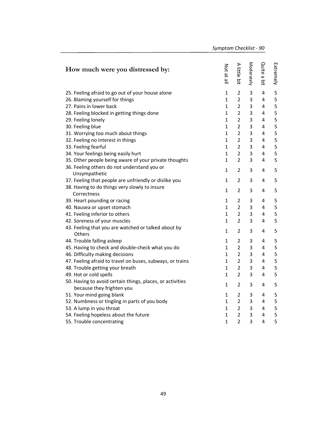| How much were you distressed by:                                                       | Not at all   | A little bit   | Moderately | Quite a bit | Extremely   |
|----------------------------------------------------------------------------------------|--------------|----------------|------------|-------------|-------------|
| 25. Feeling afraid to go out of your house alone                                       | 1            | $\overline{2}$ | 3          | 4           | 5           |
| 26. Blaming yourself for things                                                        | $\mathbf{1}$ | $\overline{2}$ | 3          | 4           | 5           |
| 27. Pains in lower back                                                                | $\mathbf{1}$ | $\overline{2}$ | 3          | 4           | 5           |
| 28. Feeling blocked in getting things done                                             | 1            | $\overline{2}$ | 3          | 4           | 5           |
| 29. Feeling lonely                                                                     | 1            | $\overline{2}$ | 3          | 4           | 5           |
| 30. Feeling blue                                                                       | $\mathbf{1}$ | $\overline{2}$ | 3          | 4           | 5           |
| 31. Worrying too much about things                                                     | $\mathbf{1}$ | $\overline{2}$ | 3          | 4           | 5           |
| 32. Feeling no interest in things                                                      | $\mathbf{1}$ | $\overline{2}$ | 3          | 4           | 5           |
| 33. Feeling fearful                                                                    | $\mathbf{1}$ | $\overline{2}$ | 3          | 4           | 5           |
| 34. Your feelings being easily hurt                                                    | $\mathbf{1}$ | $\overline{2}$ | 3          | 4           | 5           |
| 35. Other people being aware of your private thoughts                                  | $\mathbf{1}$ | $\overline{2}$ | 3          | 4           | 5           |
| 36. Feeling others do not understand you or<br>Unsympathetic                           | $\mathbf{1}$ | $\overline{2}$ | 3          | 4           | 5           |
| 37. Feeling that people are unfriendly or dislike you                                  | 1            | 2              | 3          | 4           | 5           |
| 38. Having to do things very slowly to insure<br>Correctness                           | 1            | $\overline{2}$ | 3          | 4           | 5           |
| 39. Heart pounding or racing                                                           | 1            | 2              | 3          | 4           | 5           |
| 40. Nausea or upset stomach                                                            | $\mathbf{1}$ | $\overline{2}$ | 3          | 4           | 5           |
| 41. Feeling inferior to others                                                         | $\mathbf{1}$ | $\overline{2}$ | 3          | 4           | $\mathsf S$ |
| 42. Soreness of your muscles                                                           | $\mathbf{1}$ | $\overline{2}$ | 3          | 4           | 5           |
| 43. Feeling that you are watched or talked about by<br>Others                          | $\mathbf{1}$ | $\overline{2}$ | 3          | 4           | 5           |
| 44. Trouble falling asleep                                                             | 1            | 2              | 3          | 4           | 5           |
| 45. Having to check and double-check what you do                                       | $\mathbf{1}$ | $\overline{2}$ | 3          | 4           | 5           |
| 46. Difficulty making decisions                                                        | 1            | $\overline{2}$ | 3          | 4           | $\mathsf S$ |
| 47. Feeling afraid to travel on buses, subways, or trains                              | 1            | $\overline{2}$ | 3          | 4           | $\mathsf S$ |
| 48. Trouble getting your breath                                                        | $\mathbf{1}$ | $\overline{2}$ | 3          | 4           | 5           |
| 49. Hot or cold spells                                                                 | $\mathbf{1}$ | $\overline{2}$ | 3          | 4           | 5           |
| 50. Having to avoid certain things, places, or activities<br>because they frighten you | 1            | 2              | 3          | 4           | 5           |
| 51. Your mind going blank                                                              | 1            | 2              | 3          | 4           | 5           |
| 52. Numbness or tingling in parts of you body                                          | 1            | $\overline{2}$ | 3          | 4           | 5           |
| 53. A lump in you throat                                                               | 1            | $\overline{2}$ | 3          | 4           | 5           |
| 54. Feeling hopeless about the future                                                  | $\mathbf{1}$ | $\overline{2}$ | 3          | 4           | 5           |
| 55. Trouble concentrating                                                              | $\mathbf{1}$ | $\overline{2}$ | 3          | 4           | 5           |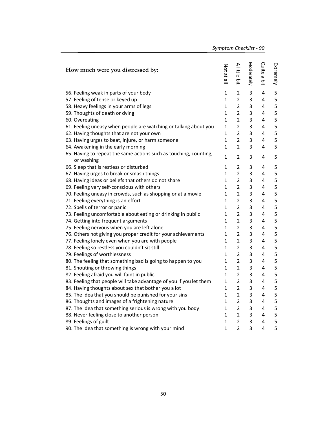| How much were you distressed by:                                                | Not at all   | A little bit   | Moderately     | Quite a bit | Extremely |
|---------------------------------------------------------------------------------|--------------|----------------|----------------|-------------|-----------|
| 56. Feeling weak in parts of your body                                          | $\mathbf{1}$ | 2              | $\mathsf 3$    | 4           | 5         |
| 57. Feeling of tense or keyed up                                                | $\mathbf{1}$ | $\overline{2}$ | 3              | 4           | 5         |
| 58. Heavy feelings in your arms of legs                                         | $\mathbf{1}$ | $\overline{2}$ | 3              | 4           | 5         |
| 59. Thoughts of death or dying                                                  | $\mathbf{1}$ | $\overline{2}$ | 3              | 4           | 5         |
| 60. Overeating                                                                  | $\mathbf{1}$ | $\overline{2}$ | 3              | 4           | 5         |
| 61. Feeling uneasy when people are watching or talking about you                | $\mathbf{1}$ | $\overline{2}$ | 3              | 4           | 5         |
| 62. Having thoughts that are not your own                                       | 1            | $\overline{2}$ | 3              | 4           | 5         |
| 63. Having urges to beat, injure, or harm someone                               | 1            | $\overline{2}$ | 3              | 4           | 5         |
| 64. Awakening in the early morning                                              | $\mathbf{1}$ | $\overline{2}$ | 3              | 4           | 5         |
| 65. Having to repeat the same actions such as touching, counting,<br>or washing | $\mathbf{1}$ | 2              | 3              | 4           | 5         |
| 66. Sleep that is restless or disturbed                                         | $\mathbf{1}$ | 2              | 3              | 4           | 5         |
| 67. Having urges to break or smash things                                       | 1            | $\overline{2}$ | 3              | 4           | 5         |
| 68. Having ideas or beliefs that others do not share                            | $\mathbf{1}$ | $\overline{2}$ | 3              | 4           | 5         |
| 69. Feeling very self-conscious with others                                     | 1            | $\overline{2}$ | 3              | 4           | 5         |
| 70. Feeling uneasy in crowds, such as shopping or at a movie                    | 1            | $\overline{2}$ | 3              | 4           | 5         |
| 71. Feeling everything is an effort                                             | 1            | 2              | 3              | 4           | 5         |
| 72. Spells of terror or panic                                                   | 1            | $\overline{2}$ | 3              | 4           | 5         |
| 73. Feeling uncomfortable about eating or drinking in public                    | 1            | $\overline{2}$ | 3              | 4           | 5         |
| 74. Getting into frequent arguments                                             | $\mathbf{1}$ | $\overline{2}$ | 3              | 4           | 5         |
| 75. Feeling nervous when you are left alone                                     | $\mathbf{1}$ | $\overline{2}$ | 3              | 4           | 5         |
| 76. Others not giving you proper credit for your achievements                   | 1            | $\overline{2}$ | 3              | 4           | 5         |
| 77. Feeling lonely even when you are with people                                | $\mathbf{1}$ | $\overline{2}$ | 3              | 4           | 5         |
| 78. Feeling so restless you couldn't sit still                                  | 1            | $\overline{2}$ | 3              | 4           | 5         |
| 79. Feelings of worthlessness                                                   | 1            | $\overline{2}$ | 3              | 4           | 5         |
| 80. The feeling that something bad is going to happen to you                    | 1            | 2              | 3              | 4           | 5         |
| 81. Shouting or throwing things                                                 | 1            | $\overline{2}$ | 3              | 4           | 5         |
| 82. Feeling afraid you will faint in public                                     | $\mathbf{1}$ | $\overline{2}$ | 3              | 4           | 5         |
| 83. Feeling that people will take advantage of you if you let them              | $\mathbf{1}$ | $\overline{2}$ | 3              | 4           | 5         |
| 84. Having thoughts about sex that bother you a lot                             | $\mathbf{1}$ | $\overline{2}$ | 3              | 4           | 5         |
| 85. The idea that you should be punished for your sins                          | 1            | $\overline{2}$ | 3              | 4           | 5         |
| 86. Thoughts and images of a frightening nature                                 | $\mathbf{1}$ | $\overline{2}$ | 3              | 4           | 5         |
| 87. The idea that something serious is wrong with you body                      | $\mathbf{1}$ | $\overline{2}$ | 3              | 4           | 5         |
| 88. Never feeling close to another person                                       | 1            | $\overline{2}$ | 3              | 4           | 5         |
| 89. Feelings of guilt                                                           | $\mathbf{1}$ | $\overline{2}$ | 3              | 4           | 5         |
| 90. The idea that something is wrong with your mind                             | $\mathbf{1}$ | $\overline{2}$ | $\overline{3}$ | 4           | 5         |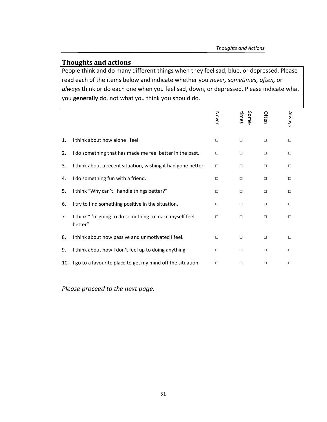## **Thoughts and actions**

People think and do many different things when they feel sad, blue, or depressed. Please read each of the items below and indicate whether you *never, sometimes, often,* or *always* think or do each one when you feel sad, down, or depressed. Please indicate what you **generally** do, not what you think you should do.

|    |                                                                    | Never  | times<br>Some | Often  | Always |
|----|--------------------------------------------------------------------|--------|---------------|--------|--------|
| 1. | I think about how alone I feel.                                    | $\Box$ | $\Box$        | $\Box$ | $\Box$ |
| 2. | I do something that has made me feel better in the past.           | $\Box$ | $\Box$        | $\Box$ | П      |
| 3. | I think about a recent situation, wishing it had gone better.      | $\Box$ | $\Box$        | $\Box$ | $\Box$ |
| 4. | do something fun with a friend.                                    | $\Box$ | $\Box$        | $\Box$ | $\Box$ |
| 5. | I think "Why can't I handle things better?"                        | $\Box$ | $\Box$        | $\Box$ | $\Box$ |
| 6. | I try to find something positive in the situation.                 | $\Box$ | $\Box$        | $\Box$ | П      |
| 7. | I think "I'm going to do something to make myself feel<br>better". | $\Box$ | $\Box$        | $\Box$ | □      |
| 8. | I think about how passive and unmotivated I feel.                  | $\Box$ | $\Box$        | $\Box$ | $\Box$ |
| 9. | I think about how I don't feel up to doing anything.               | $\Box$ | $\Box$        | $\Box$ | $\Box$ |
|    | 10. I go to a favourite place to get my mind off the situation.    | $\Box$ | $\Box$        | $\Box$ | $\Box$ |

*Please proceed to the next page.*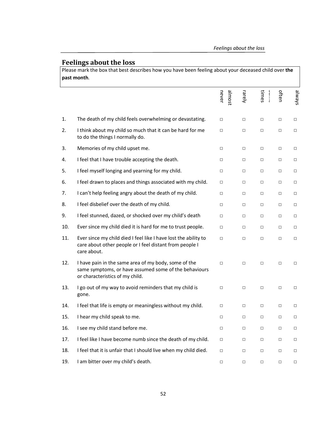## **Feelings about the loss**

Please mark the box that best describes how you have been feeling about your deceased child over **the past month**.

|     |                                                                                                                                                  | almost<br>never | rarely | times<br>$\frac{1}{2}$ | often  | s/emp  |
|-----|--------------------------------------------------------------------------------------------------------------------------------------------------|-----------------|--------|------------------------|--------|--------|
| 1.  | The death of my child feels overwhelming or devastating.                                                                                         | $\Box$          | $\Box$ | $\Box$                 | □      | $\Box$ |
| 2.  | I think about my child so much that it can be hard for me<br>to do the things I normally do.                                                     | $\Box$          | $\Box$ | $\Box$                 | $\Box$ | $\Box$ |
| 3.  | Memories of my child upset me.                                                                                                                   | $\Box$          | $\Box$ | $\Box$                 | □      | $\Box$ |
| 4.  | I feel that I have trouble accepting the death.                                                                                                  | $\Box$          | $\Box$ | $\Box$                 | $\Box$ | $\Box$ |
| 5.  | I feel myself longing and yearning for my child.                                                                                                 | $\Box$          | $\Box$ | $\Box$                 | $\Box$ | $\Box$ |
| 6.  | I feel drawn to places and things associated with my child.                                                                                      | $\Box$          | $\Box$ | $\Box$                 | $\Box$ | $\Box$ |
| 7.  | I can't help feeling angry about the death of my child.                                                                                          | $\Box$          | $\Box$ | $\Box$                 | $\Box$ | $\Box$ |
| 8.  | I feel disbelief over the death of my child.                                                                                                     | $\Box$          | $\Box$ | $\Box$                 | $\Box$ | $\Box$ |
| 9.  | I feel stunned, dazed, or shocked over my child's death                                                                                          | $\Box$          | $\Box$ | $\Box$                 | $\Box$ | $\Box$ |
| 10. | Ever since my child died it is hard for me to trust people.                                                                                      | $\Box$          | $\Box$ | $\Box$                 | $\Box$ | $\Box$ |
| 11. | Ever since my child died I feel like I have lost the ability to<br>care about other people or I feel distant from people I<br>care about.        | $\Box$          | $\Box$ | $\Box$                 | $\Box$ | $\Box$ |
| 12. | I have pain in the same area of my body, some of the<br>same symptoms, or have assumed some of the behaviours<br>or characteristics of my child. | $\Box$          | $\Box$ | $\Box$                 | $\Box$ | $\Box$ |
| 13. | I go out of my way to avoid reminders that my child is<br>gone.                                                                                  | $\Box$          | $\Box$ | $\Box$                 | $\Box$ | $\Box$ |
| 14. | I feel that life is empty or meaningless without my child.                                                                                       | $\Box$          | $\Box$ | $\Box$                 | $\Box$ | $\Box$ |
| 15. | I hear my child speak to me.                                                                                                                     | $\Box$          | $\Box$ | $\Box$                 | $\Box$ | $\Box$ |
| 16. | I see my child stand before me.                                                                                                                  | $\Box$          | $\Box$ | $\Box$                 | $\Box$ | $\Box$ |
| 17. | I feel like I have become numb since the death of my child.                                                                                      | $\Box$          | $\Box$ | □                      | □      | $\Box$ |
| 18. | I feel that it is unfair that I should live when my child died.                                                                                  | $\Box$          | $\Box$ | $\Box$                 | □      | $\Box$ |
| 19. | I am bitter over my child's death.                                                                                                               | $\Box$          | $\Box$ | $\Box$                 | □      | $\Box$ |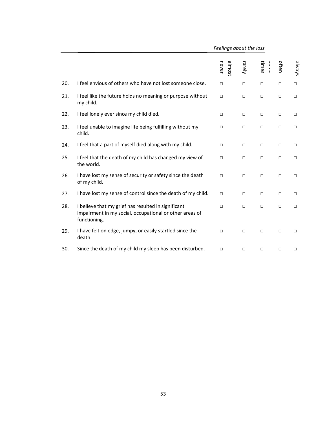|     |                                                                                                                                | Feelings about the loss |        |        |        |        |
|-----|--------------------------------------------------------------------------------------------------------------------------------|-------------------------|--------|--------|--------|--------|
|     |                                                                                                                                | sowje<br>never          | rarely | times  | often  | shways |
| 20. | I feel envious of others who have not lost someone close.                                                                      | $\Box$                  | □      | $\Box$ | $\Box$ | $\Box$ |
| 21. | I feel like the future holds no meaning or purpose without<br>my child.                                                        | $\Box$                  | $\Box$ | $\Box$ | $\Box$ | $\Box$ |
| 22. | I feel lonely ever since my child died.                                                                                        | $\Box$                  | $\Box$ | $\Box$ | $\Box$ | $\Box$ |
| 23. | I feel unable to imagine life being fulfilling without my<br>child.                                                            | $\Box$                  | $\Box$ | $\Box$ | $\Box$ | $\Box$ |
| 24. | I feel that a part of myself died along with my child.                                                                         | $\Box$                  | $\Box$ | $\Box$ | $\Box$ | $\Box$ |
| 25. | I feel that the death of my child has changed my view of<br>the world.                                                         | $\Box$                  | $\Box$ | $\Box$ | $\Box$ | $\Box$ |
| 26. | I have lost my sense of security or safety since the death<br>of my child.                                                     | $\Box$                  | □      | $\Box$ | $\Box$ | $\Box$ |
| 27. | I have lost my sense of control since the death of my child.                                                                   | $\Box$                  | $\Box$ | $\Box$ | $\Box$ | $\Box$ |
| 28. | I believe that my grief has resulted in significant<br>impairment in my social, occupational or other areas of<br>functioning. | $\Box$                  | $\Box$ | $\Box$ | $\Box$ | $\Box$ |
| 29. | I have felt on edge, jumpy, or easily startled since the<br>death.                                                             | $\Box$                  | $\Box$ | $\Box$ | $\Box$ | $\Box$ |
| 30. | Since the death of my child my sleep has been disturbed.                                                                       | □                       | $\Box$ | $\Box$ | $\Box$ | $\Box$ |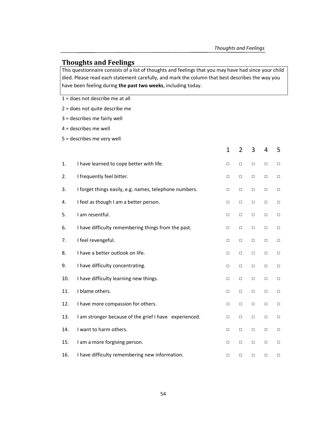## **Thoughts and Feelings**

This questionnaire consists of a list of thoughts and feelings that you may have had since your child died. Please read each statement carefully, and mark the column that best describes the way you have been feeling during **the past two weeks**, including today.

1 = does not describe me at all

2 = does not quite describe me

3 = describes me fairly well

4 = describes me well

5 = describes me very well

|     |                                                        | $\mathbf{1}$ | $\overline{2}$ | 3      | 4      | 5      |
|-----|--------------------------------------------------------|--------------|----------------|--------|--------|--------|
| 1.  | I have learned to cope better with life.               | $\Box$       | $\Box$         | $\Box$ | $\Box$ | $\Box$ |
| 2.  | I frequently feel bitter.                              | $\Box$       | $\Box$         | $\Box$ | $\Box$ | $\Box$ |
| 3.  | I forget things easily, e.g. names, telephone numbers. | $\Box$       | $\Box$         | $\Box$ | $\Box$ | $\Box$ |
| 4.  | I feel as though I am a better person.                 | $\Box$       | $\Box$         | $\Box$ | $\Box$ | $\Box$ |
| 5.  | I am resentful.                                        | $\Box$       | □              | $\Box$ | $\Box$ | $\Box$ |
| 6.  | I have difficulty remembering things from the past.    | $\Box$       | $\Box$         | $\Box$ | $\Box$ | $\Box$ |
| 7.  | I feel revengeful.                                     | □            | $\Box$         | $\Box$ | $\Box$ | $\Box$ |
| 8.  | I have a better outlook on life.                       | $\Box$       | $\Box$         | $\Box$ | $\Box$ | $\Box$ |
| 9.  | I have difficulty concentrating.                       | $\Box$       | $\Box$         | $\Box$ | $\Box$ | $\Box$ |
| 10. | I have difficulty learning new things.                 | $\Box$       | $\Box$         | $\Box$ | $\Box$ | $\Box$ |
| 11. | I blame others.                                        | $\Box$       | $\Box$         | $\Box$ | $\Box$ | $\Box$ |
| 12. | I have more compassion for others.                     | $\Box$       | $\Box$         | $\Box$ | $\Box$ | $\Box$ |
| 13. | I am stronger because of the grief I have experienced. | $\Box$       | $\Box$         | $\Box$ | $\Box$ | $\Box$ |
| 14. | I want to harm others.                                 | □            | □              | $\Box$ | □      | $\Box$ |
| 15. | I am a more forgiving person.                          | $\Box$       | $\Box$         | $\Box$ | $\Box$ | $\Box$ |
| 16. | I have difficulty remembering new information.         | $\Box$       | □              | □      | □      | $\Box$ |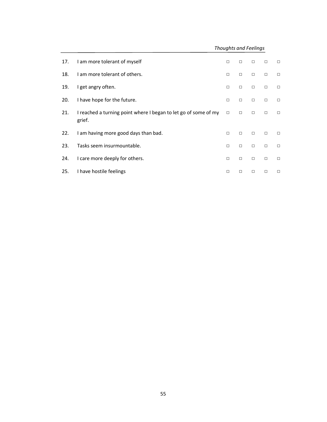*Thoughts and Feelings*

| 17. | I am more tolerant of myself                                              | $\Box$ | $\Box$ | П      | $\Box$ | $\Box$ |
|-----|---------------------------------------------------------------------------|--------|--------|--------|--------|--------|
| 18. | I am more tolerant of others.                                             | $\Box$ | $\Box$ | $\Box$ | $\Box$ | $\Box$ |
| 19. | I get angry often.                                                        | $\Box$ | $\Box$ | $\Box$ | $\Box$ | $\Box$ |
| 20. | I have hope for the future.                                               | $\Box$ | $\Box$ | $\Box$ | $\Box$ | $\Box$ |
| 21. | I reached a turning point where I began to let go of some of my<br>grief. | $\Box$ | $\Box$ | $\Box$ | $\Box$ | $\Box$ |
| 22. | I am having more good days than bad.                                      | $\Box$ | $\Box$ | $\Box$ | $\Box$ | $\Box$ |
| 23. | Tasks seem insurmountable.                                                | $\Box$ | $\Box$ | $\Box$ | $\Box$ | $\Box$ |
| 24. | I care more deeply for others.                                            | $\Box$ | $\Box$ | $\Box$ | $\Box$ | $\Box$ |
| 25. | I have hostile feelings                                                   | $\Box$ | □      | □      | $\Box$ | $\Box$ |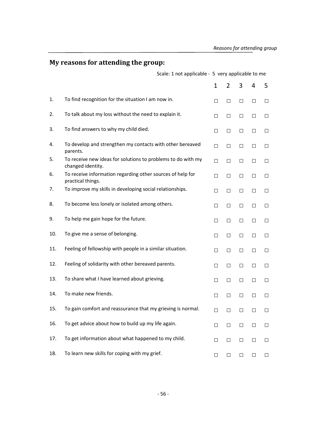# **My reasons for attending the group:**

|     |                                                                                   | Scale: 1 not applicable - 5 very applicable to me |                |        |        |        |  |  |  |
|-----|-----------------------------------------------------------------------------------|---------------------------------------------------|----------------|--------|--------|--------|--|--|--|
|     |                                                                                   | 1                                                 | $\overline{2}$ | 3      | 4      | 5      |  |  |  |
| 1.  | To find recognition for the situation I am now in.                                | □                                                 | □              | $\Box$ | $\Box$ | □      |  |  |  |
| 2.  | To talk about my loss without the need to explain it.                             | $\Box$                                            | $\Box$         | $\Box$ | □      | $\Box$ |  |  |  |
| 3.  | To find answers to why my child died.                                             | $\Box$                                            | $\Box$         | $\Box$ | $\Box$ | $\Box$ |  |  |  |
| 4.  | To develop and strengthen my contacts with other bereaved<br>parents.             | □                                                 | $\Box$         | $\Box$ | $\Box$ | $\Box$ |  |  |  |
| 5.  | To receive new ideas for solutions to problems to do with my<br>changed identity. | $\Box$                                            | $\Box$         | $\Box$ | □      | □      |  |  |  |
| 6.  | To receive information regarding other sources of help for<br>practical things.   | $\Box$                                            | $\Box$         | $\Box$ | $\Box$ | □      |  |  |  |
| 7.  | To improve my skills in developing social relationships.                          | □                                                 | $\Box$         | $\Box$ | $\Box$ | $\Box$ |  |  |  |
| 8.  | To become less lonely or isolated among others.                                   | $\Box$                                            | $\Box$         | $\Box$ | □      | □      |  |  |  |
| 9.  | To help me gain hope for the future.                                              | $\Box$                                            | $\Box$         | $\Box$ | $\Box$ | □      |  |  |  |
| 10. | To give me a sense of belonging.                                                  | $\Box$                                            | $\Box$         | $\Box$ | $\Box$ | $\Box$ |  |  |  |
| 11. | Feeling of fellowship with people in a similar situation.                         | $\Box$                                            | $\Box$         | $\Box$ | $\Box$ | $\Box$ |  |  |  |
| 12. | Feeling of solidarity with other bereaved parents.                                | $\Box$                                            | $\Box$         | $\Box$ | $\Box$ | □      |  |  |  |
| 13. | To share what I have learned about grieving.                                      | $\Box$                                            | $\Box$         | $\Box$ | $\Box$ | $\Box$ |  |  |  |
| 14. | To make new friends.                                                              | $\Box$                                            | $\Box$         | $\Box$ | $\Box$ | $\Box$ |  |  |  |
| 15. | To gain comfort and reassurance that my grieving is normal.                       | $\Box$                                            | $\Box$         | $\Box$ | $\Box$ |        |  |  |  |
| 16. | To get advice about how to build up my life again.                                | $\Box$                                            | $\Box$         | $\Box$ | $\Box$ | $\Box$ |  |  |  |
| 17. | To get information about what happened to my child.                               | $\Box$                                            | □              | □      | $\Box$ | $\Box$ |  |  |  |
| 18. | To learn new skills for coping with my grief.                                     | $\Box$                                            | $\Box$         | $\Box$ | $\Box$ | $\Box$ |  |  |  |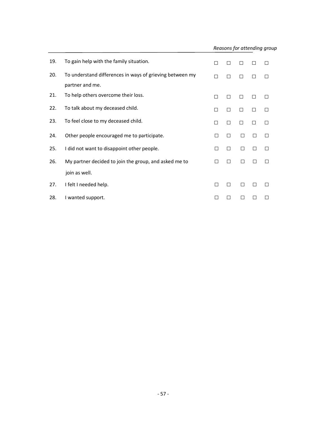| 19. | To gain help with the family situation.                                     | П      | П |   |   | $\mathsf{L}$ |
|-----|-----------------------------------------------------------------------------|--------|---|---|---|--------------|
| 20. | To understand differences in ways of grieving between my<br>partner and me. | П      | П |   |   | ш            |
| 21. | To help others overcome their loss.                                         | П      | П |   |   |              |
| 22. | To talk about my deceased child.                                            | П      | □ | П | ш | П            |
| 23. | To feel close to my deceased child.                                         | П      | П | П |   | П            |
| 24. | Other people encouraged me to participate.                                  | $\Box$ | П | □ | П | П            |
| 25. | I did not want to disappoint other people.                                  | $\Box$ | □ | П | П | П            |
| 26. | My partner decided to join the group, and asked me to                       | П      | П | П |   |              |
|     | join as well.                                                               |        |   |   |   |              |
| 27. | I felt I needed help.                                                       | П      | П | п |   |              |
| 28. | I wanted support.                                                           |        | П | П |   |              |